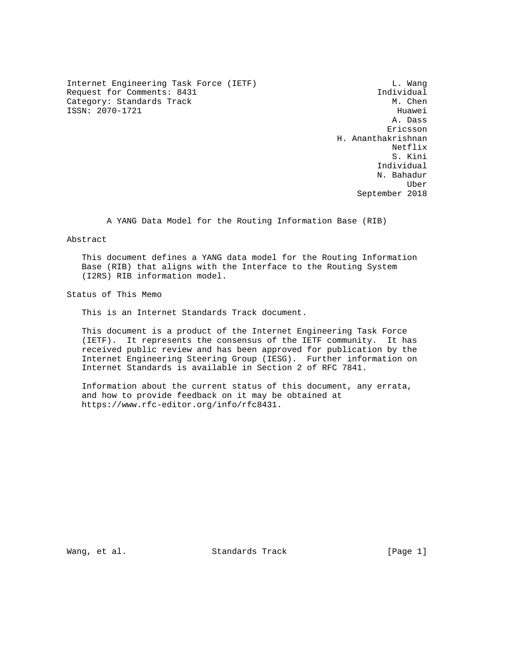Internet Engineering Task Force (IETF) and the control of the U. Wang Request for Comments: 8431 Individual<br>Category: Standards Track Mateur (M. Chen Category: Standards Track ISSN: 2070-1721 Huawei

 A. Dass Ericsson H. Ananthakrishnan Netflix and the set of the set of the set of the set of the set of the set of the set of the set of the set of the set of the set of the set of the set of the set of the set of the set of the set of the set of the set of t S. Kini Individual N. Bahadur uber der den staatstelling van de bestelling van de bestelling van de bestelling van de bestelling van de best September 2018

A YANG Data Model for the Routing Information Base (RIB)

Abstract

 This document defines a YANG data model for the Routing Information Base (RIB) that aligns with the Interface to the Routing System (I2RS) RIB information model.

Status of This Memo

This is an Internet Standards Track document.

 This document is a product of the Internet Engineering Task Force (IETF). It represents the consensus of the IETF community. It has received public review and has been approved for publication by the Internet Engineering Steering Group (IESG). Further information on Internet Standards is available in Section 2 of RFC 7841.

 Information about the current status of this document, any errata, and how to provide feedback on it may be obtained at https://www.rfc-editor.org/info/rfc8431.

Wang, et al. Standards Track [Page 1]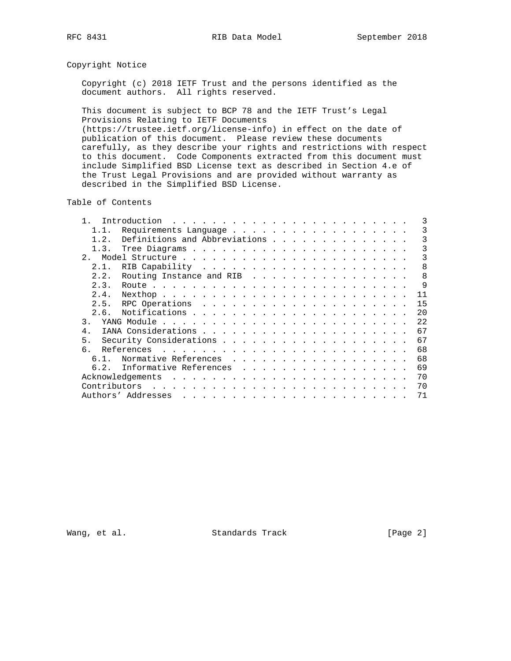# Copyright Notice

 Copyright (c) 2018 IETF Trust and the persons identified as the document authors. All rights reserved.

 This document is subject to BCP 78 and the IETF Trust's Legal Provisions Relating to IETF Documents (https://trustee.ietf.org/license-info) in effect on the date of

 publication of this document. Please review these documents carefully, as they describe your rights and restrictions with respect to this document. Code Components extracted from this document must include Simplified BSD License text as described in Section 4.e of the Trust Legal Provisions and are provided without warranty as described in the Simplified BSD License.

Table of Contents

|             |                                                                                                                                                                                                                                             |  |  |  | 3   |
|-------------|---------------------------------------------------------------------------------------------------------------------------------------------------------------------------------------------------------------------------------------------|--|--|--|-----|
| 1.1.        | Requirements Language                                                                                                                                                                                                                       |  |  |  | 3   |
| 1.2.        | Definitions and Abbreviations                                                                                                                                                                                                               |  |  |  | 3   |
| $1 \cdot 3$ |                                                                                                                                                                                                                                             |  |  |  | 3   |
| 2.          |                                                                                                                                                                                                                                             |  |  |  | 3   |
| 2.1.        |                                                                                                                                                                                                                                             |  |  |  | 8   |
| 2.2.        | Routing Instance and RIB                                                                                                                                                                                                                    |  |  |  | 8   |
| 2.3.        |                                                                                                                                                                                                                                             |  |  |  | 9   |
| 2.4.        |                                                                                                                                                                                                                                             |  |  |  | 11  |
| 2.5.        |                                                                                                                                                                                                                                             |  |  |  | 15  |
| 2.6.        |                                                                                                                                                                                                                                             |  |  |  | 2.0 |
| 3           |                                                                                                                                                                                                                                             |  |  |  | 22  |
| 4.          |                                                                                                                                                                                                                                             |  |  |  | 67  |
| 5.          |                                                                                                                                                                                                                                             |  |  |  | 67  |
|             | References<br>. The contract of the contract of the contract of the contract of the contract of the contract of the contract of the contract of the contract of the contract of the contract of the contract of the contract of the contrac |  |  |  | 68  |
| 61          | Normative References                                                                                                                                                                                                                        |  |  |  | 68  |
| 6.2.        | Informative References                                                                                                                                                                                                                      |  |  |  | 69  |
|             |                                                                                                                                                                                                                                             |  |  |  | 70  |
|             |                                                                                                                                                                                                                                             |  |  |  | 70  |
|             | Authors' Addresses<br>and a series and a series are a series and a series and a series are                                                                                                                                                  |  |  |  | 71  |

Wang, et al. Standards Track [Page 2]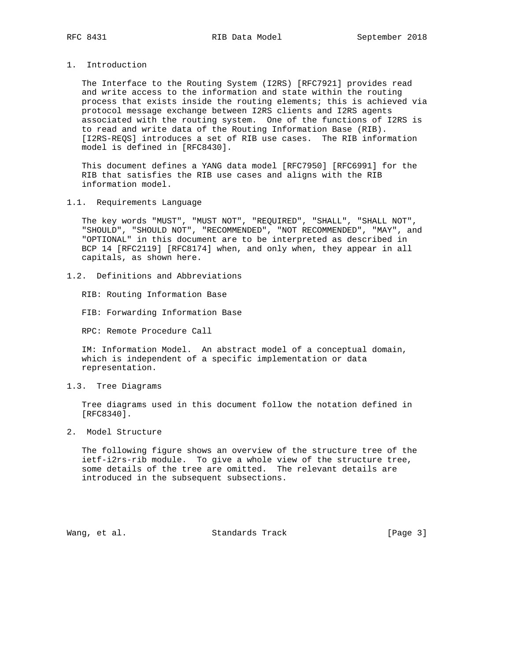1. Introduction

 The Interface to the Routing System (I2RS) [RFC7921] provides read and write access to the information and state within the routing process that exists inside the routing elements; this is achieved via protocol message exchange between I2RS clients and I2RS agents associated with the routing system. One of the functions of I2RS is to read and write data of the Routing Information Base (RIB). [I2RS-REQS] introduces a set of RIB use cases. The RIB information model is defined in [RFC8430].

 This document defines a YANG data model [RFC7950] [RFC6991] for the RIB that satisfies the RIB use cases and aligns with the RIB information model.

1.1. Requirements Language

 The key words "MUST", "MUST NOT", "REQUIRED", "SHALL", "SHALL NOT", "SHOULD", "SHOULD NOT", "RECOMMENDED", "NOT RECOMMENDED", "MAY", and "OPTIONAL" in this document are to be interpreted as described in BCP 14 [RFC2119] [RFC8174] when, and only when, they appear in all capitals, as shown here.

1.2. Definitions and Abbreviations

RIB: Routing Information Base

FIB: Forwarding Information Base

RPC: Remote Procedure Call

 IM: Information Model. An abstract model of a conceptual domain, which is independent of a specific implementation or data representation.

1.3. Tree Diagrams

 Tree diagrams used in this document follow the notation defined in [RFC8340].

2. Model Structure

 The following figure shows an overview of the structure tree of the ietf-i2rs-rib module. To give a whole view of the structure tree, some details of the tree are omitted. The relevant details are introduced in the subsequent subsections.

Wang, et al. Standards Track [Page 3]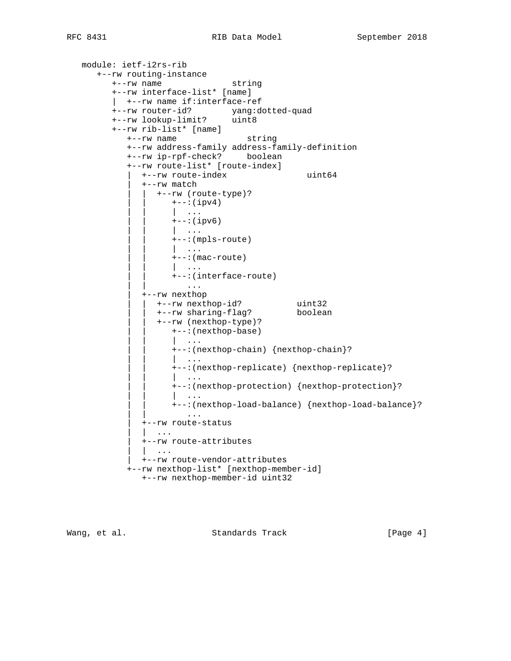```
 module: ietf-i2rs-rib
      +--rw routing-instance
         +--rw name string
         +--rw interface-list* [name]
         | +--rw name if:interface-ref
 +--rw router-id? yang:dotted-quad
 +--rw lookup-limit? uint8
         +--rw rib-list* [name]
            +--rw name string
            +--rw address-family address-family-definition
            +--rw ip-rpf-check? boolean
            +--rw route-list* [route-index]
               | +--rw route-index uint64
               | +--rw match
                 | | +--rw (route-type)?
                     | | +--:(ipv4)
                    | | | ...
                    +--:(ipv6) | | | ...
                     | | +--:(mpls-route)
                    | | | ...
                    +--: (mac-route)
                      | \cdot | \cdot | \cdot | | | +--:(interface-route)
| | .... | .... | .... | .... | .... | ....
              +--rw nexthop<br>| +--rw nexthop-id?
 | | +--rw nexthop-id? uint32
 | | +--rw sharing-flag? boolean
                 | | +--rw (nexthop-type)?
                    | | +--:(nexthop-base)
                     | | | ...
                     | | +--:(nexthop-chain) {nexthop-chain}?
                     | | | ...
                     | | +--:(nexthop-replicate) {nexthop-replicate}?
 | | | ...
                     | | +--:(nexthop-protection) {nexthop-protection}?
 | | | ...
                     | | +--:(nexthop-load-balance) {nexthop-load-balance}?
 | | ...
               | +--rw route-status
               | | ...
               | +--rw route-attributes
               | | ...
               | +--rw route-vendor-attributes
            +--rw nexthop-list* [nexthop-member-id]
               +--rw nexthop-member-id uint32
```
Wang, et al. Standards Track and [Page 4]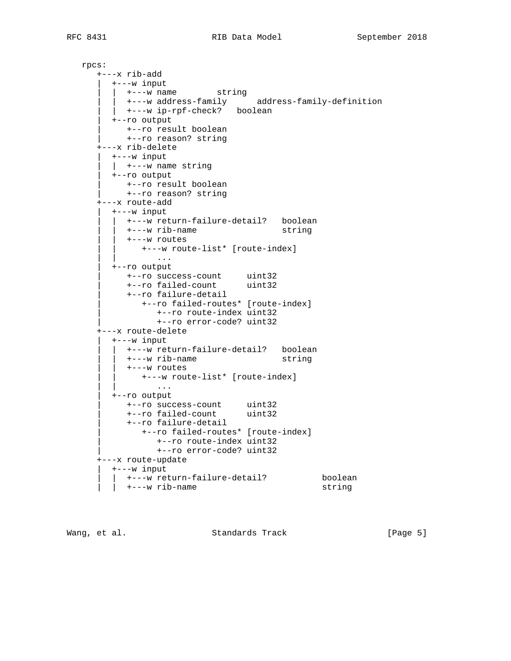rpcs: +---x rib-add | +---w input | | +---w name string | | +---w address-family address-family-definition | | +---w ip-rpf-check? boolean | +--ro output | +--ro result boolean | +--ro reason? string +---x rib-delete | +---w input | | +---w name string | +--ro output | +--ro result boolean | +--ro reason? string +---x route-add | +---w input | | +---w return-failure-detail? boolean | | +---w rib-name string | | +---w routes | | +---w route-list\* [route-index] | | ... | +--ro output | +--ro success-count uint32 | +--ro failed-count uint32 | +--ro failure-detail | +--ro failed-routes\* [route-index] | +--ro route-index uint32 | +--ro error-code? uint32 +---x route-delete | +---w input | | +---w return-failure-detail? boolean | | +---w rib-name string  $|$  +---w routes | | +---w route-list\* [route-index] | | ... | +--ro output | +--ro success-count uint32 | +--ro failed-count uint32 | +--ro failure-detail | +--ro failed-routes\* [route-index] | +--ro route-index uint32 | +--ro error-code? uint32 +---x route-update | +---w input | | +---w return-failure-detail? boolean | | +---w rib-name string

Wang, et al. Standards Track [Page 5]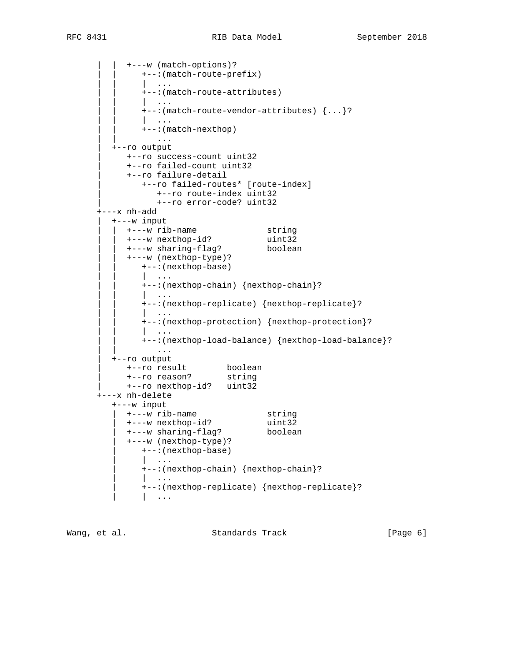| | +---w (match-options)? | | +--:(match-route-prefix)  $| \cdot |$  ... | | +--:(match-route-attributes) | | | ... | | +--:(match-route-vendor-attributes) {...}? | | | ... | | +--:(match-nexthop) | | ... | +--ro output | +--ro success-count uint32 | +--ro failed-count uint32 | +--ro failure-detail | +--ro failed-routes\* [route-index] | +--ro route-index uint32 | +--ro error-code? uint32 +---x nh-add | +---w input | | +---w rib-name string | | +---w nexthop-id? uint32 | | +---w sharing-flag? boolean | | +---w (nexthop-type)? | | +--:(nexthop-base) | | | ... | | +--:(nexthop-chain) {nexthop-chain}?  $| \cdot |$  ... | | +--:(nexthop-replicate) {nexthop-replicate}?  $| \cdot |$  ... | | +--:(nexthop-protection) {nexthop-protection}?  $| \cdot |$  ... | | +--:(nexthop-load-balance) {nexthop-load-balance}? | | ... | +--ro output | +--ro result boolean | +--ro reason? string | +--ro nexthop-id? uint32 +---x nh-delete +---w input | +---w rib-name string | +---w nexthop-id? uint32 | +---w sharing-flag? boolean | +---w (nexthop-type)? | +--:(nexthop-base) | | ... | +--:(nexthop-chain) {nexthop-chain}? | | ... | +--:(nexthop-replicate) {nexthop-replicate}?  $| \cdot |$ ...

Wang, et al. Standards Track [Page 6]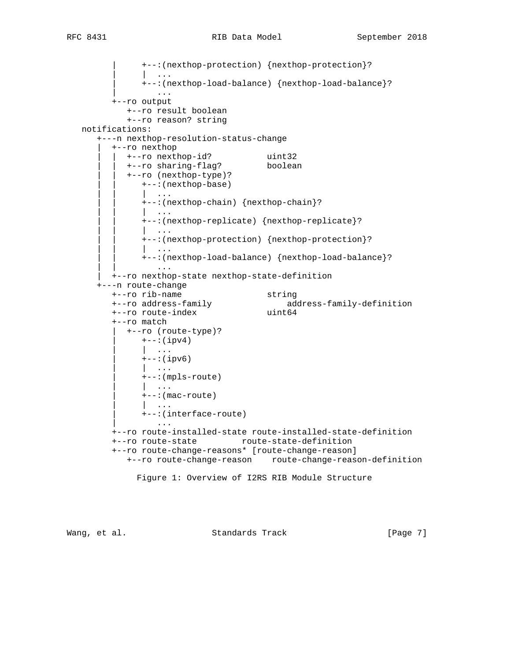```
 | +--:(nexthop-protection) {nexthop-protection}?
               | \cdot | ...
                | +--:(nexthop-load-balance) {nexthop-load-balance}?
               \| \cdot \| . . .
          +--ro output
             +--ro result boolean
             +--ro reason? string
   notifications:
       +---n nexthop-resolution-status-change
         +--ro nexthop<br>| +--ro nexthop-id?
 | | +--ro nexthop-id? uint32
 | | +--ro sharing-flag? boolean
             | | +--ro (nexthop-type)?
                | | +--:(nexthop-base)
                  | | | ...
                | | +--:(nexthop-chain) {nexthop-chain}?
                | | | ...
                | | +--:(nexthop-replicate) {nexthop-replicate}?
                | | | ...
                | | +--:(nexthop-protection) {nexthop-protection}?
                | | | ...
                | | +--:(nexthop-load-balance) {nexthop-load-balance}?
| | .... | ... | ... | ... | ... | ... | ... | ... | ... | ... | ... | ... | ...
          | +--ro nexthop-state nexthop-state-definition
       +---n route-change
 +--ro rib-name string
 +--ro address-family address-family-definition
 +--ro route-index uint64
          +--ro match
             | +--ro (route-type)?
                | +--:(ipv4)
                | | ...
                | +--:(ipv6)
                | | ...
                | +--:(mpls-route)
                   | | ...
               +--:(mac-route) | | ...
                | +--:(interface-route)
                    | ...
          +--ro route-installed-state route-installed-state-definition
          +--ro route-state route-state-definition
          +--ro route-change-reasons* [route-change-reason]
             +--ro route-change-reason route-change-reason-definition
               Figure 1: Overview of I2RS RIB Module Structure
```
Wang, et al. Standards Track [Page 7]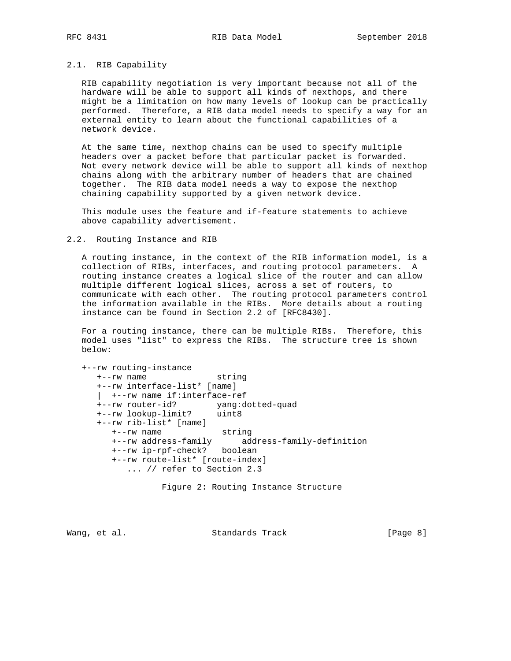## 2.1. RIB Capability

 RIB capability negotiation is very important because not all of the hardware will be able to support all kinds of nexthops, and there might be a limitation on how many levels of lookup can be practically performed. Therefore, a RIB data model needs to specify a way for an external entity to learn about the functional capabilities of a network device.

 At the same time, nexthop chains can be used to specify multiple headers over a packet before that particular packet is forwarded. Not every network device will be able to support all kinds of nexthop chains along with the arbitrary number of headers that are chained together. The RIB data model needs a way to expose the nexthop chaining capability supported by a given network device.

 This module uses the feature and if-feature statements to achieve above capability advertisement.

#### 2.2. Routing Instance and RIB

 A routing instance, in the context of the RIB information model, is a collection of RIBs, interfaces, and routing protocol parameters. A routing instance creates a logical slice of the router and can allow multiple different logical slices, across a set of routers, to communicate with each other. The routing protocol parameters control the information available in the RIBs. More details about a routing instance can be found in Section 2.2 of [RFC8430].

 For a routing instance, there can be multiple RIBs. Therefore, this model uses "list" to express the RIBs. The structure tree is shown below:

 +--rw routing-instance +--rw name string +--rw interface-list\* [name] | +--rw name if:interface-ref +--rw router-id? yang:dotted-quad +--rw lookup-limit? uint8 +--rw rib-list\* [name] +--rw name string +--rw address-family address-family-definition +--rw ip-rpf-check? boolean +--rw route-list\* [route-index] ... // refer to Section 2.3

Figure 2: Routing Instance Structure

Wang, et al. Standards Track [Page 8]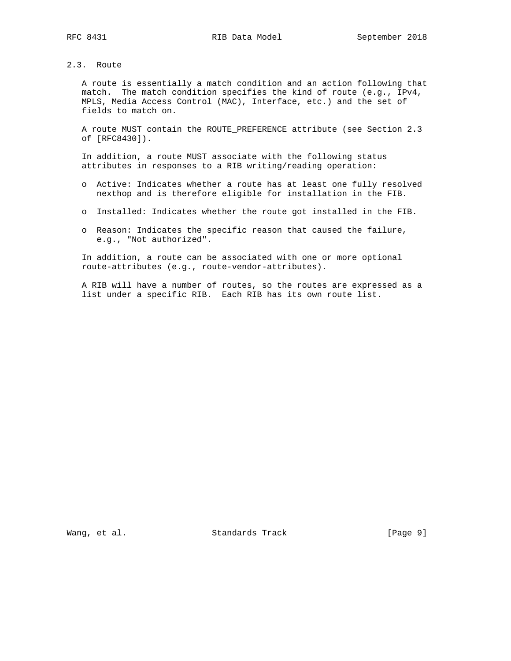# 2.3. Route

 A route is essentially a match condition and an action following that match. The match condition specifies the kind of route (e.g., IPv4, MPLS, Media Access Control (MAC), Interface, etc.) and the set of fields to match on.

 A route MUST contain the ROUTE\_PREFERENCE attribute (see Section 2.3 of [RFC8430]).

 In addition, a route MUST associate with the following status attributes in responses to a RIB writing/reading operation:

- o Active: Indicates whether a route has at least one fully resolved nexthop and is therefore eligible for installation in the FIB.
- o Installed: Indicates whether the route got installed in the FIB.
- o Reason: Indicates the specific reason that caused the failure, e.g., "Not authorized".

 In addition, a route can be associated with one or more optional route-attributes (e.g., route-vendor-attributes).

 A RIB will have a number of routes, so the routes are expressed as a list under a specific RIB. Each RIB has its own route list.

Wang, et al. Standards Track [Page 9]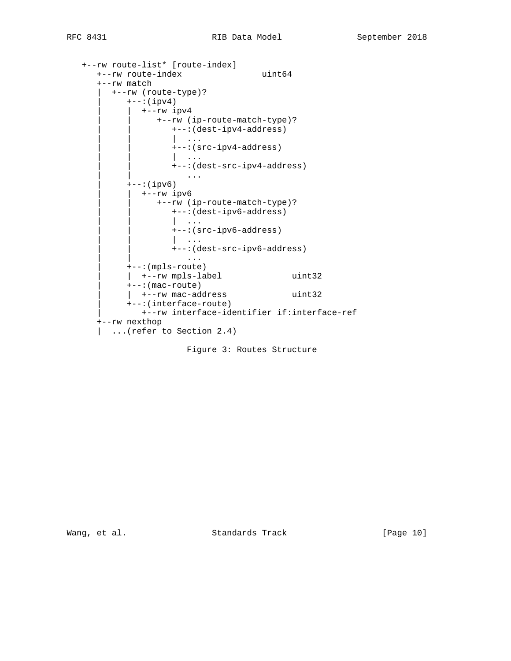```
 +--rw route-list* [route-index]
      +--rw route-index uint64
      +--rw match
         | +--rw (route-type)?
           +--:(ipv4) | | +--rw ipv4
                  | | +--rw (ip-route-match-type)?
                     | | +--:(dest-ipv4-address)
                     | | | ...
                     | | +--:(src-ipv4-address)
 | | | ...
                     | | +--:(dest-src-ipv4-address)
 | | ...
           +--:(ipv6) | | +--rw ipv6
                  | | +--rw (ip-route-match-type)?
                     | | +--:(dest-ipv6-address)
                     | | | ...
                    +--:(src-ipv6-address)| \cdot | \cdot | \cdot | | | +--:(dest-src-ipv6-address)
 | | ...
            | +--:(mpls-route)
           | +--rw mpls-label uint32
            | +--:(mac-route)
           | +--rw mac-address uint32
            | +--:(interface-route)
               | +--rw interface-identifier if:interface-ref
      +--rw nexthop
      | ...(refer to Section 2.4)
```
Figure 3: Routes Structure

Wang, et al. Standards Track [Page 10]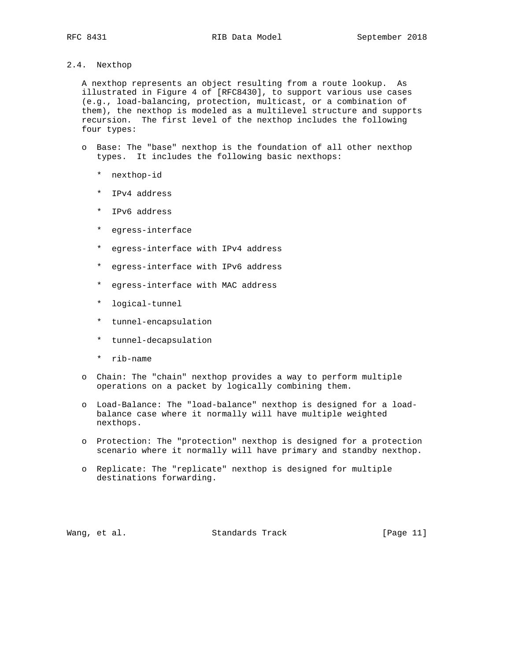# 2.4. Nexthop

 A nexthop represents an object resulting from a route lookup. As illustrated in Figure 4 of [RFC8430], to support various use cases (e.g., load-balancing, protection, multicast, or a combination of them), the nexthop is modeled as a multilevel structure and supports recursion. The first level of the nexthop includes the following four types:

- o Base: The "base" nexthop is the foundation of all other nexthop types. It includes the following basic nexthops:
	- \* nexthop-id
	- \* IPv4 address
	- \* IPv6 address
	- \* egress-interface
	- \* egress-interface with IPv4 address
	- \* egress-interface with IPv6 address
	- \* egress-interface with MAC address
	- \* logical-tunnel
	- \* tunnel-encapsulation
	- \* tunnel-decapsulation
	- \* rib-name
- o Chain: The "chain" nexthop provides a way to perform multiple operations on a packet by logically combining them.
- o Load-Balance: The "load-balance" nexthop is designed for a load balance case where it normally will have multiple weighted nexthops.
- o Protection: The "protection" nexthop is designed for a protection scenario where it normally will have primary and standby nexthop.
- o Replicate: The "replicate" nexthop is designed for multiple destinations forwarding.

Wang, et al. Standards Track [Page 11]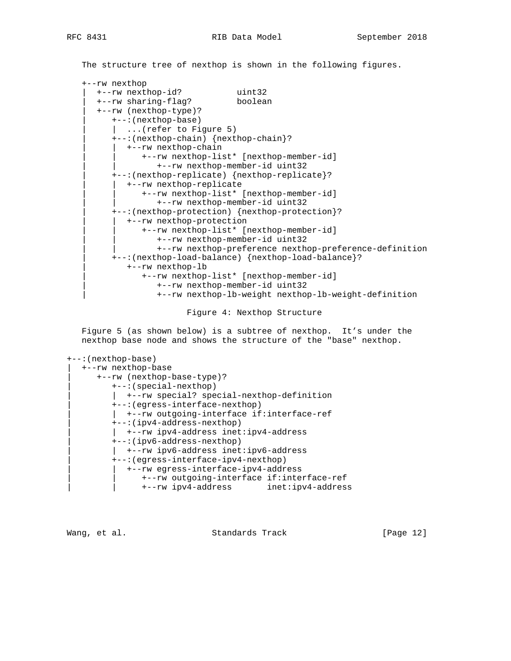The structure tree of nexthop is shown in the following figures.

```
 +--rw nexthop
   | +--rw nexthop-id? uint32
   | +--rw sharing-flag? boolean
    | +--rw (nexthop-type)?
      | +--:(nexthop-base)
      | ... (refer to Figure 5) | +--:(nexthop-chain) {nexthop-chain}?
      | +--rw nexthop-chain
             | | +--rw nexthop-list* [nexthop-member-id]
                | | +--rw nexthop-member-id uint32
       | +--:(nexthop-replicate) {nexthop-replicate}?
         | | +--rw nexthop-replicate
             | | +--rw nexthop-list* [nexthop-member-id]
                | | +--rw nexthop-member-id uint32
       | +--:(nexthop-protection) {nexthop-protection}?
         | | +--rw nexthop-protection
             | | +--rw nexthop-list* [nexthop-member-id]
                | | +--rw nexthop-member-id uint32
                | | +--rw nexthop-preference nexthop-preference-definition
       | +--:(nexthop-load-balance) {nexthop-load-balance}?
          | +--rw nexthop-lb
             | +--rw nexthop-list* [nexthop-member-id]
                | +--rw nexthop-member-id uint32
                | +--rw nexthop-lb-weight nexthop-lb-weight-definition
```
Figure 4: Nexthop Structure

 Figure 5 (as shown below) is a subtree of nexthop. It's under the nexthop base node and shows the structure of the "base" nexthop.

```
+--:(nexthop-base)
```

```
| +--rw nexthop-base
   | +--rw (nexthop-base-type)?
      | +--:(special-nexthop)
      | | +--rw special? special-nexthop-definition
      | +--:(egress-interface-nexthop)
      | | +--rw outgoing-interface if:interface-ref
      | +--:(ipv4-address-nexthop)
      | | +--rw ipv4-address inet:ipv4-address
      | +--:(ipv6-address-nexthop)
      | | +--rw ipv6-address inet:ipv6-address
      | +--:(egress-interface-ipv4-nexthop)
       | | +--rw egress-interface-ipv4-address
            | | +--rw outgoing-interface if:interface-ref
           | | +--rw ipv4-address inet:ipv4-address
```
Wang, et al. Standards Track [Page 12]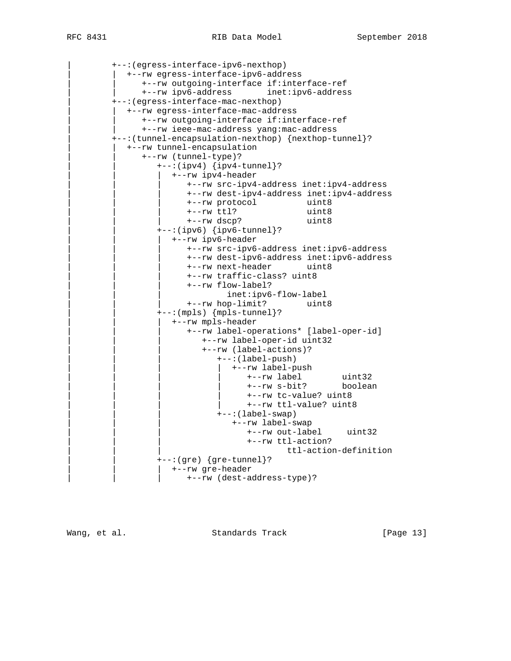| +--:(egress-interface-ipv6-nexthop) | | +--rw egress-interface-ipv6-address | | +--rw outgoing-interface if:interface-ref | | +--rw ipv6-address inet:ipv6-address | +--:(egress-interface-mac-nexthop) | | +--rw egress-interface-mac-address | | +--rw outgoing-interface if:interface-ref | | +--rw ieee-mac-address yang:mac-address | +--:(tunnel-encapsulation-nexthop) {nexthop-tunnel}? | | +--rw tunnel-encapsulation | | +--rw (tunnel-type)?  $+--:(ipv4)$  {ipv4-tunnel}? | | | +--rw ipv4-header | | | +--rw src-ipv4-address inet:ipv4-address | | | +--rw dest-ipv4-address inet:ipv4-address | | | +--rw protocol uint8 | +--rw ttl? uint8<br>| +--rw dscp? uint8 +--rw dscp? | | +--:(ipv6) {ipv6-tunnel}? | | | +--rw ipv6-header | | | +--rw src-ipv6-address inet:ipv6-address | | | +--rw dest-ipv6-address inet:ipv6-address | | | +--rw next-header uint8 | | | +--rw traffic-class? uint8 | | | +--rw flow-label? inet:ipv6-flow-label | | | +--rw hop-limit? uint8 | | +--:(mpls) {mpls-tunnel}? | | | +--rw mpls-header | | | +--rw label-operations\* [label-oper-id] | | | +--rw label-oper-id uint32 | | | +--rw (label-actions)?  $+--:(label-push)$ | | | | +--rw label-push | | | | +--rw label uint32 | | | | +--rw s-bit? boolean | | | | +--rw tc-value? uint8 | | | | +--rw ttl-value? uint8  $---:(label-swap)$ | | | +--rw label-swap | | | +--rw out-label uint32 | | | +--rw ttl-action? | | | ttl-action-definition  $+--:(gre) {gre-tunnel}$ ? | +--rw gre-header | | | +--rw (dest-address-type)?

Wang, et al. Standards Track [Page 13]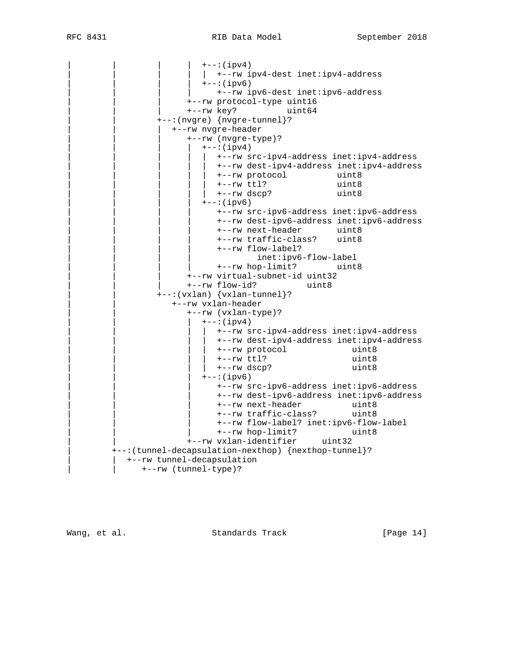$+--:$  (ipv4) | +--rw ipv4-dest inet:ipv4-address  $+--:(ipv6)$ | | | | +--rw ipv6-dest inet:ipv6-address | | | +--rw protocol-type uint16 | | | +--rw key? uint64 | | +--:(nvgre) {nvgre-tunnel}? | | | +--rw nvgre-header | | | +--rw (nvgre-type)?  $+--:(ipv4)$ | | | | | +--rw src-ipv4-address inet:ipv4-address | | | | | +--rw dest-ipv4-address inet:ipv4-address | | | | | +--rw protocol uint8 | | | | | | +--rw ttl? uint8 | | | | | +--rw dscp? uint8  $+--:(ipv6)$ | | | | +--rw src-ipv6-address inet:ipv6-address | | | | +--rw dest-ipv6-address inet:ipv6-address | | | | +--rw next-header uint8 | | | | +--rw traffic-class? uint8 | | | | +--rw flow-label? inet:ipv6-flow-label | | | | +--rw hop-limit? uint8 +--rw virtual-subnet-id uint32<br>+--rw flow-id? uint8 +--rw flow-id? | | +--:(vxlan) {vxlan-tunnel}? | | +--rw vxlan-header | | +--rw (vxlan-type)?  $+--:(ipv4)$ | | | | +--rw src-ipv4-address inet:ipv4-address | | | | +--rw dest-ipv4-address inet:ipv4-address | | | | +--rw protocol uint8 | | | | +--rw ttl? uint8 | | | | +--rw dscp? uint8  $+--:(ipv6)$ | | | +--rw src-ipv6-address inet:ipv6-address | | | +--rw dest-ipv6-address inet:ipv6-address | | | +--rw next-header uint8 | | | +--rw traffic-class? uint8 | | | +--rw flow-label? inet:ipv6-flow-label | | | +--rw hop-limit? uint8 | | +--rw vxlan-identifier uint32 | +--:(tunnel-decapsulation-nexthop) {nexthop-tunnel}? | | +--rw tunnel-decapsulation | | +--rw (tunnel-type)?

Wang, et al. Standards Track [Page 14]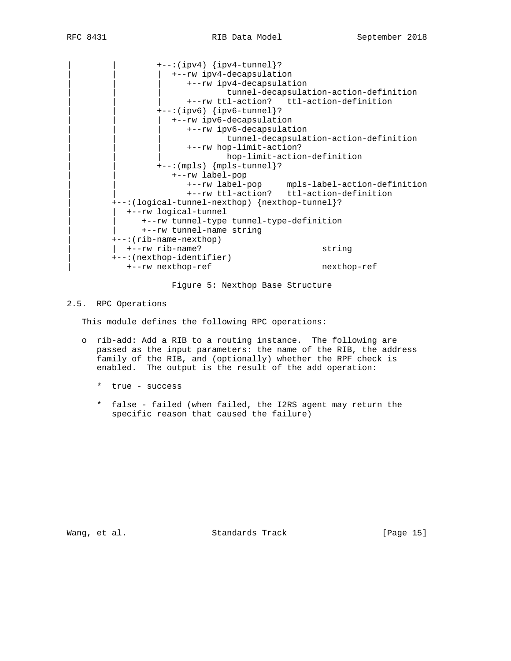$+--:(ipv4) {ipv4-tunnel}$ ? | | | +--rw ipv4-decapsulation | | | +--rw ipv4-decapsulation | | | tunnel-decapsulation-action-definition | | | +--rw ttl-action? ttl-action-definition  $+--:(ipv6) {ipv6-tunnel}$ ? | | | +--rw ipv6-decapsulation | | | +--rw ipv6-decapsulation | | | tunnel-decapsulation-action-definition | | | +--rw hop-limit-action? hop-limit-action-definition  $+--:(mp1s)$   ${mp1s-tunnel}$ ? | | +--rw label-pop | | +--rw label-pop mpls-label-action-definition | | +--rw ttl-action? ttl-action-definition | +--:(logical-tunnel-nexthop) {nexthop-tunnel}? | | +--rw logical-tunnel | | +--rw tunnel-type tunnel-type-definition | | +--rw tunnel-name string | +--:(rib-name-nexthop) | | +--rw rib-name? string | +--:(nexthop-identifier) | +--rw nexthop-ref nexthop-ref

Figure 5: Nexthop Base Structure

### 2.5. RPC Operations

This module defines the following RPC operations:

- o rib-add: Add a RIB to a routing instance. The following are passed as the input parameters: the name of the RIB, the address family of the RIB, and (optionally) whether the RPF check is enabled. The output is the result of the add operation:
	- \* true success
	- \* false failed (when failed, the I2RS agent may return the specific reason that caused the failure)

Wang, et al. Standards Track [Page 15]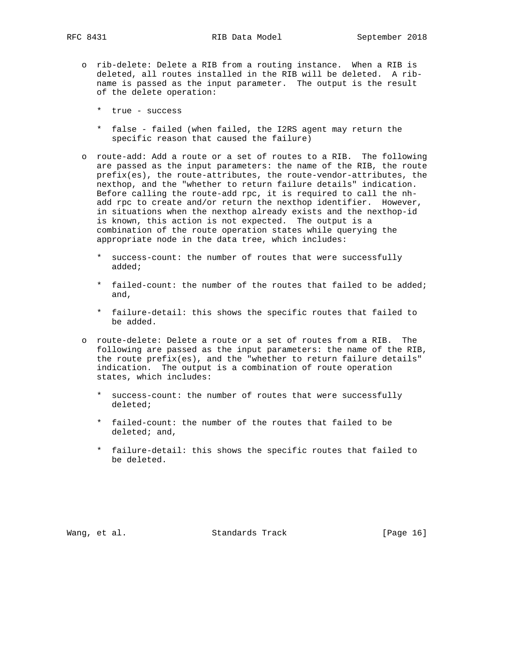- o rib-delete: Delete a RIB from a routing instance. When a RIB is deleted, all routes installed in the RIB will be deleted. A rib name is passed as the input parameter. The output is the result of the delete operation:
	- \* true success
	- \* false failed (when failed, the I2RS agent may return the specific reason that caused the failure)
- o route-add: Add a route or a set of routes to a RIB. The following are passed as the input parameters: the name of the RIB, the route prefix(es), the route-attributes, the route-vendor-attributes, the nexthop, and the "whether to return failure details" indication. Before calling the route-add rpc, it is required to call the nh add rpc to create and/or return the nexthop identifier. However, in situations when the nexthop already exists and the nexthop-id is known, this action is not expected. The output is a combination of the route operation states while querying the appropriate node in the data tree, which includes:
	- \* success-count: the number of routes that were successfully added;
	- \* failed-count: the number of the routes that failed to be added; and,
	- \* failure-detail: this shows the specific routes that failed to be added.
- o route-delete: Delete a route or a set of routes from a RIB. The following are passed as the input parameters: the name of the RIB, the route prefix(es), and the "whether to return failure details" indication. The output is a combination of route operation states, which includes:
	- \* success-count: the number of routes that were successfully deleted;
	- \* failed-count: the number of the routes that failed to be deleted; and,
	- \* failure-detail: this shows the specific routes that failed to be deleted.

Wang, et al. Standards Track [Page 16]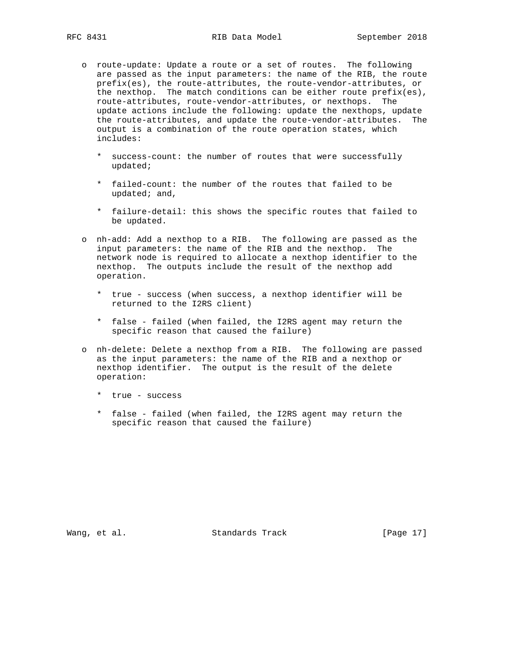- o route-update: Update a route or a set of routes. The following are passed as the input parameters: the name of the RIB, the route prefix(es), the route-attributes, the route-vendor-attributes, or the nexthop. The match conditions can be either route prefix(es), route-attributes, route-vendor-attributes, or nexthops. The update actions include the following: update the nexthops, update the route-attributes, and update the route-vendor-attributes. The output is a combination of the route operation states, which includes:
	- \* success-count: the number of routes that were successfully updated;
	- \* failed-count: the number of the routes that failed to be updated; and,
	- \* failure-detail: this shows the specific routes that failed to be updated.
- o nh-add: Add a nexthop to a RIB. The following are passed as the input parameters: the name of the RIB and the nexthop. The network node is required to allocate a nexthop identifier to the nexthop. The outputs include the result of the nexthop add operation.
	- \* true success (when success, a nexthop identifier will be returned to the I2RS client)
	- \* false failed (when failed, the I2RS agent may return the specific reason that caused the failure)
- o nh-delete: Delete a nexthop from a RIB. The following are passed as the input parameters: the name of the RIB and a nexthop or nexthop identifier. The output is the result of the delete operation:
	- \* true success
	- \* false failed (when failed, the I2RS agent may return the specific reason that caused the failure)

Wang, et al. Standards Track [Page 17]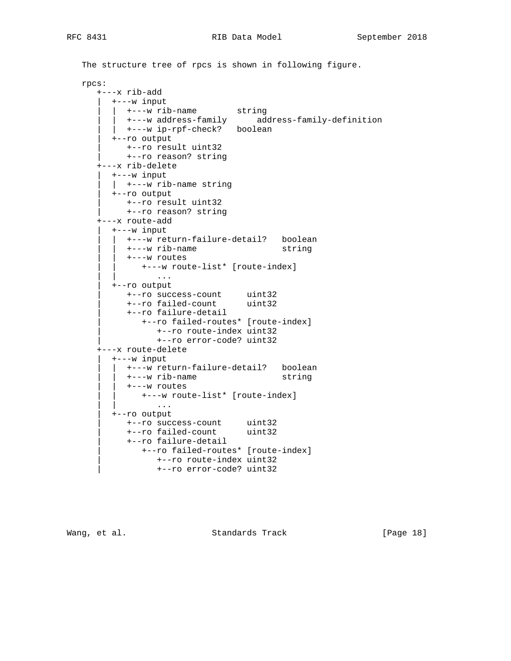```
 The structure tree of rpcs is shown in following figure.
   rpcs:
      +---x rib-add
        | +---w input
         \vert +---w rib-name string
         | +---w address-family address-family-definition
         | | +---w ip-rpf-check? boolean
         | +--ro output
           | +--ro result uint32
            | +--ro reason? string
      +---x rib-delete
         | +---w input
        | +---w rib-name string
         | +--ro output
           | +--ro result uint32
            | +--ro reason? string
      +---x route-add
         | +---w input
           | | +---w return-failure-detail? boolean
           | | +---w rib-name string
         | +---w routes
               | | +---w route-list* [route-index]
                  | | ...
         | +--ro output
 | +--ro success-count uint32
 | +--ro failed-count uint32
            | +--ro failure-detail
              | +--ro failed-routes* [route-index]
                  | +--ro route-index uint32
                  | +--ro error-code? uint32
      +---x route-delete
        | +---w input
          | | +---w return-failure-detail? boolean
           | | +---w rib-name string
           | | +---w routes
              | | +---w route-list* [route-index]
                  | | ...
         | +--ro output
 | +--ro success-count uint32
 | +--ro failed-count uint32
            | +--ro failure-detail
              | +--ro failed-routes* [route-index]
                 | +--ro route-index uint32
                 | +--ro error-code? uint32
```
Wang, et al. Standards Track [Page 18]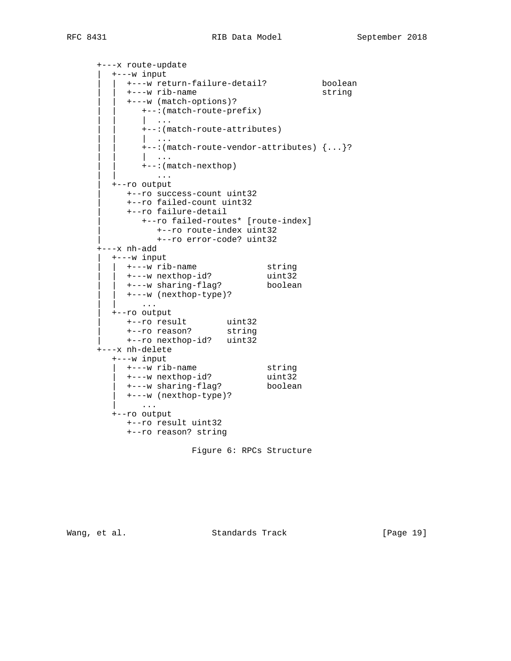+---x route-update | +---w input | | +---w return-failure-detail? boolean | | +---w rib-name string | | +---w (match-options)? | | +--:(match-route-prefix) | | | ... | | +--:(match-route-attributes) | | | ... | | +--:(match-route-vendor-attributes) {...}? | | | ... | | +--:(match-nexthop) | | ... | +--ro output | +--ro success-count uint32 | +--ro failed-count uint32 | +--ro failure-detail | +--ro failed-routes\* [route-index] | +--ro route-index uint32 | +--ro error-code? uint32 +---x nh-add | +---w input | | +---w rib-name string | | +---w nexthop-id? uint32 | | +---w sharing-flag? boolean | | +---w (nexthop-type)? | | ... | +--ro output | +--ro result uint32 | +--ro reason? string | +--ro nexthop-id? uint32 +---x nh-delete +---w input | +---w rib-name string | +---w nexthop-id? uint32 | +---w sharing-flag? boolean | +---w (nexthop-type)? | ... +--ro output +--ro result uint32 +--ro reason? string

```
 Figure 6: RPCs Structure
```
Wang, et al. Standards Track [Page 19]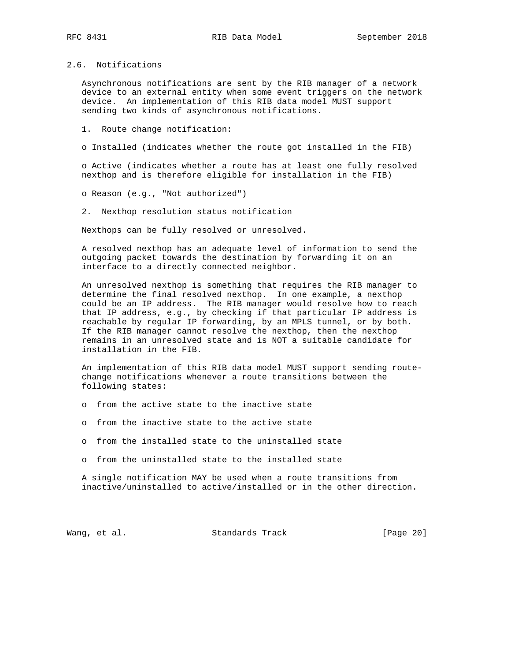## 2.6. Notifications

 Asynchronous notifications are sent by the RIB manager of a network device to an external entity when some event triggers on the network device. An implementation of this RIB data model MUST support sending two kinds of asynchronous notifications.

1. Route change notification:

o Installed (indicates whether the route got installed in the FIB)

 o Active (indicates whether a route has at least one fully resolved nexthop and is therefore eligible for installation in the FIB)

o Reason (e.g., "Not authorized")

2. Nexthop resolution status notification

Nexthops can be fully resolved or unresolved.

 A resolved nexthop has an adequate level of information to send the outgoing packet towards the destination by forwarding it on an interface to a directly connected neighbor.

 An unresolved nexthop is something that requires the RIB manager to determine the final resolved nexthop. In one example, a nexthop could be an IP address. The RIB manager would resolve how to reach that IP address, e.g., by checking if that particular IP address is reachable by regular IP forwarding, by an MPLS tunnel, or by both. If the RIB manager cannot resolve the nexthop, then the nexthop remains in an unresolved state and is NOT a suitable candidate for installation in the FIB.

 An implementation of this RIB data model MUST support sending route change notifications whenever a route transitions between the following states:

- o from the active state to the inactive state
- o from the inactive state to the active state
- o from the installed state to the uninstalled state
- o from the uninstalled state to the installed state

 A single notification MAY be used when a route transitions from inactive/uninstalled to active/installed or in the other direction.

Wang, et al. Standards Track [Page 20]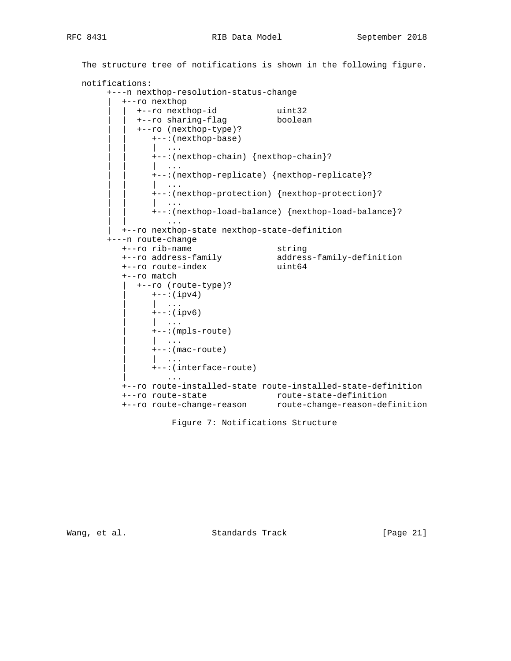# RFC 8431 RIB Data Model September 2018

```
 The structure tree of notifications is shown in the following figure.
   notifications:
        +---n nexthop-resolution-status-change
           | +--ro nexthop
 | | +--ro nexthop-id uint32
 | | +--ro sharing-flag boolean
             | | +--ro (nexthop-type)?
               | | +--:(nexthop-base)
                | | | ...
                | | +--:(nexthop-chain) {nexthop-chain}?
 | | | ...
                | | +--:(nexthop-replicate) {nexthop-replicate}?
                  | | | ...
                | | +--:(nexthop-protection) {nexthop-protection}?
                 | | | ...
                | | +--:(nexthop-load-balance) {nexthop-load-balance}?
| | .... | .... | ... | ... | ...
          | +--ro nexthop-state nexthop-state-definition
        +---n route-change
 +--ro rib-name string
 +--ro address-family address-family-definition
 +--ro route-index uint64
           +--ro match
             | +--ro (route-type)?
               +--:(ipv4)| \cdot | ...
               +--: (ipv6)
                | | ...
                | +--:(mpls-route)
                | | ...
               +--: (mac-route)
                 | | ...
                | +--:(interface-route)
 | ...
           +--ro route-installed-state route-installed-state-definition
           +--ro route-state route-state-definition
           +--ro route-change-reason route-change-reason-definition
```
Figure 7: Notifications Structure

Wang, et al. Standards Track [Page 21]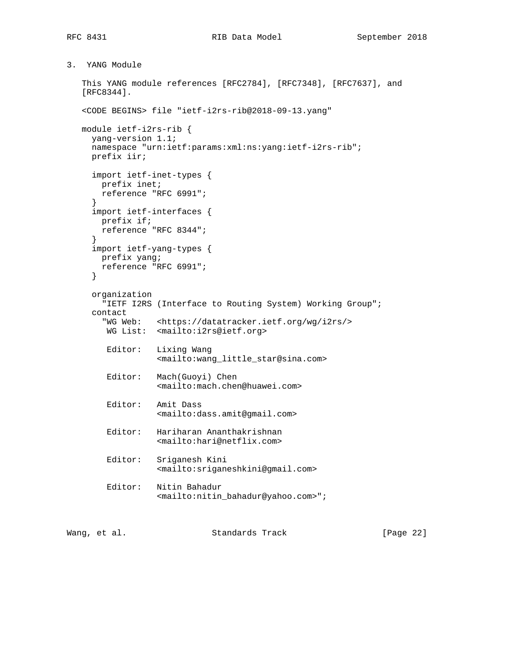```
3. YANG Module
```

```
 This YANG module references [RFC2784], [RFC7348], [RFC7637], and
   [RFC8344].
   <CODE BEGINS> file "ietf-i2rs-rib@2018-09-13.yang"
   module ietf-i2rs-rib {
     yang-version 1.1;
     namespace "urn:ietf:params:xml:ns:yang:ietf-i2rs-rib";
     prefix iir;
     import ietf-inet-types {
       prefix inet;
       reference "RFC 6991";
      }
     import ietf-interfaces {
       prefix if;
       reference "RFC 8344";
 }
     import ietf-yang-types {
       prefix yang;
       reference "RFC 6991";
     }
     organization
        "IETF I2RS (Interface to Routing System) Working Group";
     contact
        "WG Web: <https://datatracker.ietf.org/wg/i2rs/>
        WG List: <mailto:i2rs@ietf.org>
        Editor: Lixing Wang
                   <mailto:wang_little_star@sina.com>
        Editor: Mach(Guoyi) Chen
                   <mailto:mach.chen@huawei.com>
        Editor: Amit Dass
                   <mailto:dass.amit@gmail.com>
        Editor: Hariharan Ananthakrishnan
                  <mailto:hari@netflix.com>
        Editor: Sriganesh Kini
                   <mailto:sriganeshkini@gmail.com>
        Editor: Nitin Bahadur
                   <mailto:nitin_bahadur@yahoo.com>";
```
Wang, et al. Standards Track [Page 22]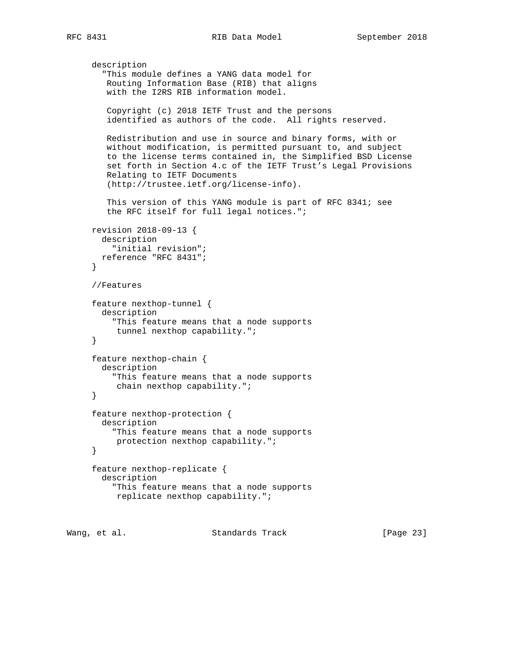```
 description
        "This module defines a YANG data model for
         Routing Information Base (RIB) that aligns
         with the I2RS RIB information model.
         Copyright (c) 2018 IETF Trust and the persons
         identified as authors of the code. All rights reserved.
        Redistribution and use in source and binary forms, with or
        without modification, is permitted pursuant to, and subject
        to the license terms contained in, the Simplified BSD License
         set forth in Section 4.c of the IETF Trust's Legal Provisions
        Relating to IETF Documents
         (http://trustee.ietf.org/license-info).
         This version of this YANG module is part of RFC 8341; see
         the RFC itself for full legal notices.";
     revision 2018-09-13 {
       description
          "initial revision";
       reference "RFC 8431";
      }
      //Features
      feature nexthop-tunnel {
        description
          "This feature means that a node supports
          tunnel nexthop capability.";
      }
      feature nexthop-chain {
       description
          "This feature means that a node supports
          chain nexthop capability.";
      }
      feature nexthop-protection {
       description
          "This feature means that a node supports
          protection nexthop capability.";
      }
      feature nexthop-replicate {
        description
          "This feature means that a node supports
          replicate nexthop capability.";
Wang, et al. Standards Track [Page 23]
```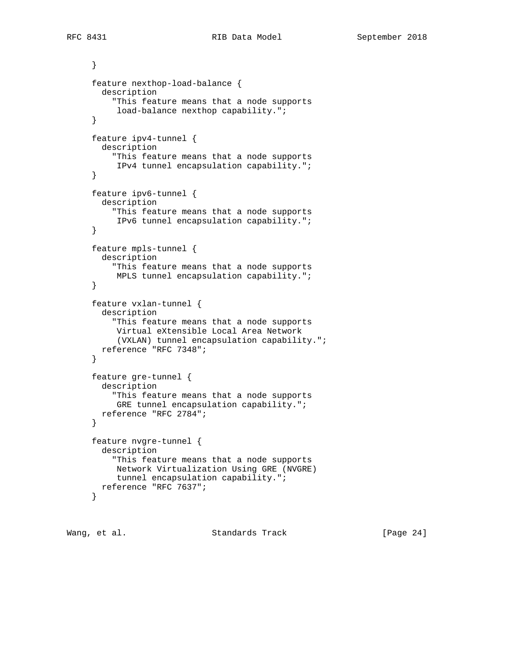```
 }
 feature nexthop-load-balance {
   description
     "This feature means that a node supports
      load-balance nexthop capability.";
 }
 feature ipv4-tunnel {
  description
     "This feature means that a node supports
      IPv4 tunnel encapsulation capability.";
 }
 feature ipv6-tunnel {
  description
     "This feature means that a node supports
      IPv6 tunnel encapsulation capability.";
 }
 feature mpls-tunnel {
   description
     "This feature means that a node supports
     MPLS tunnel encapsulation capability.";
 }
 feature vxlan-tunnel {
   description
     "This feature means that a node supports
     Virtual eXtensible Local Area Network
      (VXLAN) tunnel encapsulation capability.";
  reference "RFC 7348";
 }
 feature gre-tunnel {
  description
     "This feature means that a node supports
      GRE tunnel encapsulation capability.";
  reference "RFC 2784";
 }
 feature nvgre-tunnel {
  description
     "This feature means that a node supports
     Network Virtualization Using GRE (NVGRE)
     tunnel encapsulation capability.";
  reference "RFC 7637";
 }
```
Wang, et al. Standards Track [Page 24]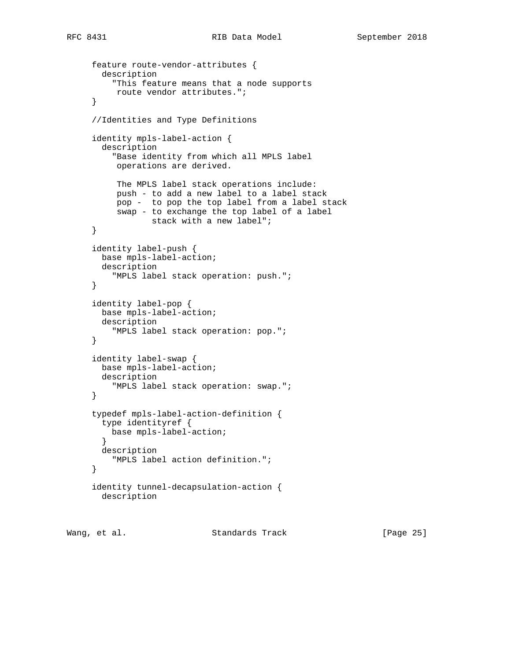```
 feature route-vendor-attributes {
  description
     "This feature means that a node supports
     route vendor attributes.";
 }
 //Identities and Type Definitions
 identity mpls-label-action {
  description
     "Base identity from which all MPLS label
      operations are derived.
      The MPLS label stack operations include:
      push - to add a new label to a label stack
      pop - to pop the top label from a label stack
      swap - to exchange the top label of a label
             stack with a new label";
 }
 identity label-push {
  base mpls-label-action;
  description
     "MPLS label stack operation: push.";
 }
 identity label-pop {
  base mpls-label-action;
  description
     "MPLS label stack operation: pop.";
 }
 identity label-swap {
  base mpls-label-action;
  description
     "MPLS label stack operation: swap.";
 }
 typedef mpls-label-action-definition {
  type identityref {
    base mpls-label-action;
   }
  description
    "MPLS label action definition.";
 }
 identity tunnel-decapsulation-action {
  description
```
Wang, et al. Standards Track [Page 25]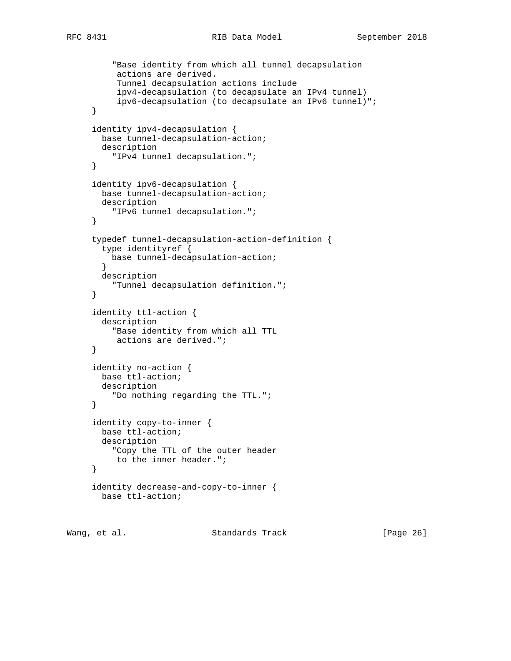```
RFC 8431 RIB Data Model September 2018
```

```
 "Base identity from which all tunnel decapsulation
      actions are derived.
      Tunnel decapsulation actions include
      ipv4-decapsulation (to decapsulate an IPv4 tunnel)
      ipv6-decapsulation (to decapsulate an IPv6 tunnel)";
 }
 identity ipv4-decapsulation {
  base tunnel-decapsulation-action;
   description
     "IPv4 tunnel decapsulation.";
 }
 identity ipv6-decapsulation {
  base tunnel-decapsulation-action;
  description
     "IPv6 tunnel decapsulation.";
 }
 typedef tunnel-decapsulation-action-definition {
  type identityref {
    base tunnel-decapsulation-action;
   }
  description
     "Tunnel decapsulation definition.";
 }
 identity ttl-action {
  description
     "Base identity from which all TTL
     actions are derived.";
 }
 identity no-action {
  base ttl-action;
  description
     "Do nothing regarding the TTL.";
 }
 identity copy-to-inner {
  base ttl-action;
  description
     "Copy the TTL of the outer header
     to the inner header.";
 }
 identity decrease-and-copy-to-inner {
  base ttl-action;
```
Wang, et al. Standards Track [Page 26]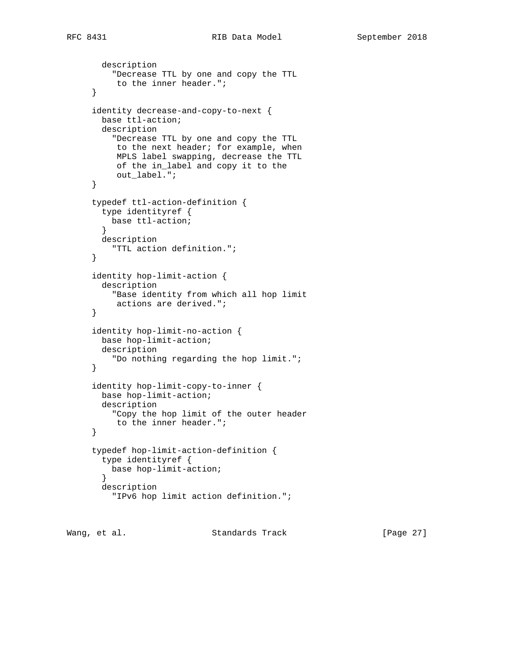```
 description
     "Decrease TTL by one and copy the TTL
      to the inner header.";
 }
 identity decrease-and-copy-to-next {
  base ttl-action;
  description
     "Decrease TTL by one and copy the TTL
     to the next header; for example, when
      MPLS label swapping, decrease the TTL
      of the in_label and copy it to the
      out_label.";
 }
 typedef ttl-action-definition {
  type identityref {
    base ttl-action;
   }
  description
     "TTL action definition.";
 }
 identity hop-limit-action {
  description
     "Base identity from which all hop limit
      actions are derived.";
 }
 identity hop-limit-no-action {
  base hop-limit-action;
  description
     "Do nothing regarding the hop limit.";
 }
 identity hop-limit-copy-to-inner {
  base hop-limit-action;
   description
     "Copy the hop limit of the outer header
     to the inner header.";
 }
 typedef hop-limit-action-definition {
  type identityref {
    base hop-limit-action;
   }
  description
     "IPv6 hop limit action definition.";
```
Wang, et al. Standards Track [Page 27]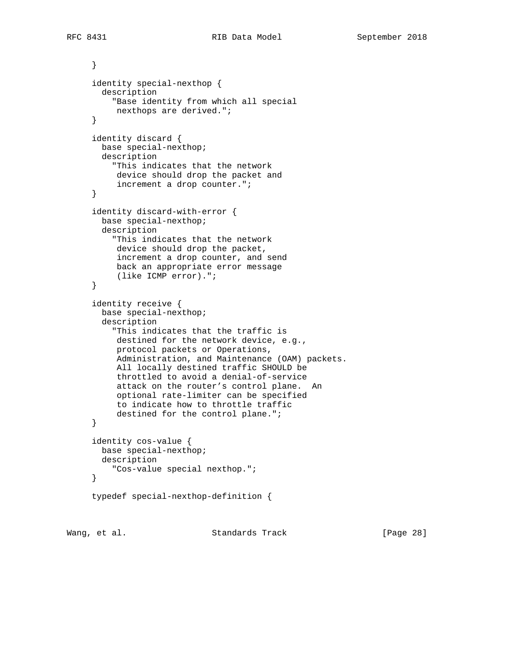```
 }
 identity special-nexthop {
  description
     "Base identity from which all special
     nexthops are derived.";
 }
 identity discard {
  base special-nexthop;
  description
     "This indicates that the network
     device should drop the packet and
      increment a drop counter.";
 }
 identity discard-with-error {
  base special-nexthop;
  description
     "This indicates that the network
     device should drop the packet,
      increment a drop counter, and send
      back an appropriate error message
      (like ICMP error).";
 }
 identity receive {
  base special-nexthop;
  description
     "This indicates that the traffic is
      destined for the network device, e.g.,
     protocol packets or Operations,
      Administration, and Maintenance (OAM) packets.
      All locally destined traffic SHOULD be
      throttled to avoid a denial-of-service
      attack on the router's control plane. An
      optional rate-limiter can be specified
      to indicate how to throttle traffic
      destined for the control plane.";
 }
 identity cos-value {
  base special-nexthop;
  description
     "Cos-value special nexthop.";
 }
 typedef special-nexthop-definition {
```
Wang, et al. Standards Track [Page 28]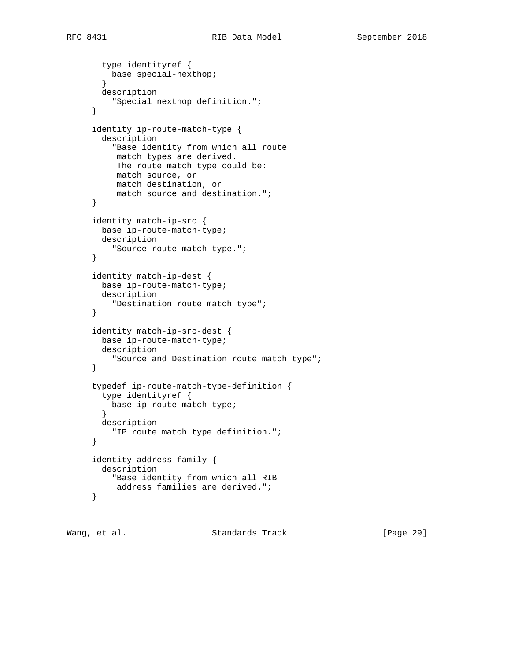```
 type identityref {
     base special-nexthop;
   }
  description
     "Special nexthop definition.";
 }
 identity ip-route-match-type {
   description
     "Base identity from which all route
     match types are derived.
     The route match type could be:
     match source, or
     match destination, or
      match source and destination.";
 }
 identity match-ip-src {
  base ip-route-match-type;
  description
     "Source route match type.";
 }
 identity match-ip-dest {
  base ip-route-match-type;
  description
     "Destination route match type";
 }
 identity match-ip-src-dest {
  base ip-route-match-type;
  description
     "Source and Destination route match type";
 }
 typedef ip-route-match-type-definition {
   type identityref {
    base ip-route-match-type;
   }
  description
    "IP route match type definition.";
 }
 identity address-family {
  description
     "Base identity from which all RIB
     address families are derived.";
 }
```
Wang, et al. Standards Track [Page 29]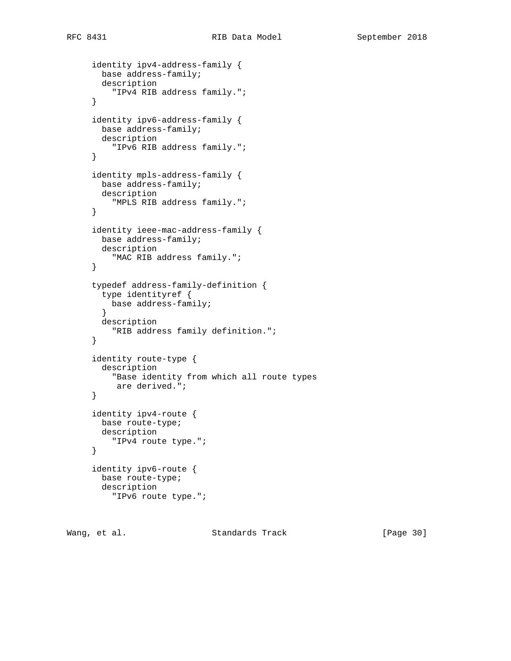```
 identity ipv4-address-family {
  base address-family;
  description
     "IPv4 RIB address family.";
 }
 identity ipv6-address-family {
  base address-family;
  description
     "IPv6 RIB address family.";
 }
 identity mpls-address-family {
  base address-family;
  description
     "MPLS RIB address family.";
 }
 identity ieee-mac-address-family {
  base address-family;
  description
     "MAC RIB address family.";
 }
 typedef address-family-definition {
   type identityref {
    base address-family;
   }
  description
     "RIB address family definition.";
 }
 identity route-type {
  description
     "Base identity from which all route types
     are derived.";
 }
 identity ipv4-route {
  base route-type;
  description
    "IPv4 route type.";
 }
 identity ipv6-route {
  base route-type;
  description
     "IPv6 route type.";
```
Wang, et al. Standards Track [Page 30]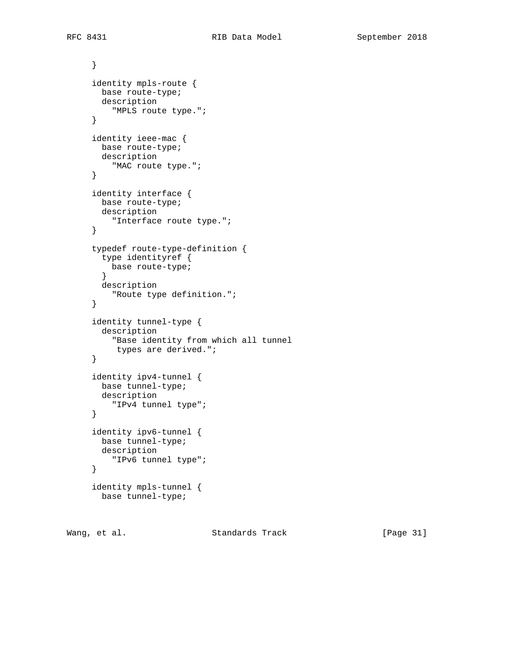```
 }
 identity mpls-route {
  base route-type;
  description
     "MPLS route type.";
 }
 identity ieee-mac {
  base route-type;
  description
    "MAC route type.";
 }
 identity interface {
  base route-type;
  description
    "Interface route type.";
 }
 typedef route-type-definition {
  type identityref {
    base route-type;
  }
  description
    "Route type definition.";
 }
 identity tunnel-type {
  description
     "Base identity from which all tunnel
     types are derived.";
 }
 identity ipv4-tunnel {
  base tunnel-type;
  description
    "IPv4 tunnel type";
 }
 identity ipv6-tunnel {
  base tunnel-type;
  description
    "IPv6 tunnel type";
 }
 identity mpls-tunnel {
  base tunnel-type;
```
Wang, et al. Standards Track [Page 31]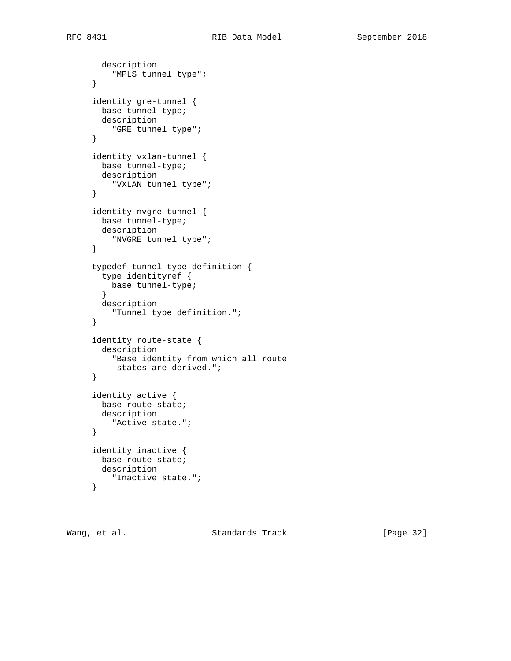```
 description
    "MPLS tunnel type";
 }
 identity gre-tunnel {
  base tunnel-type;
  description
    "GRE tunnel type";
 }
 identity vxlan-tunnel {
  base tunnel-type;
  description
    "VXLAN tunnel type";
 }
 identity nvgre-tunnel {
  base tunnel-type;
  description
    "NVGRE tunnel type";
 }
 typedef tunnel-type-definition {
   type identityref {
    base tunnel-type;
   }
  description
     "Tunnel type definition.";
 }
 identity route-state {
   description
     "Base identity from which all route
     states are derived.";
 }
 identity active {
  base route-state;
   description
     "Active state.";
 }
 identity inactive {
  base route-state;
  description
    "Inactive state.";
 }
```
Wang, et al. Standards Track [Page 32]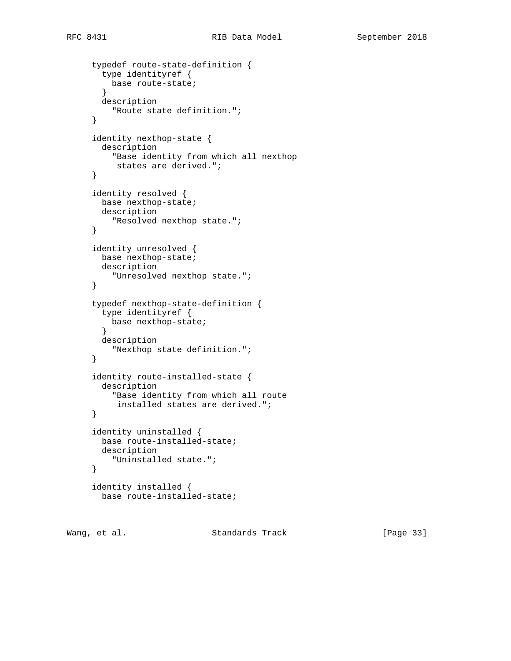```
 typedef route-state-definition {
  type identityref {
    base route-state;
   }
  description
    "Route state definition.";
 }
 identity nexthop-state {
  description
     "Base identity from which all nexthop
     states are derived.";
 }
 identity resolved {
  base nexthop-state;
  description
     "Resolved nexthop state.";
 }
 identity unresolved {
  base nexthop-state;
  description
     "Unresolved nexthop state.";
 }
 typedef nexthop-state-definition {
   type identityref {
    base nexthop-state;
   }
  description
     "Nexthop state definition.";
 }
 identity route-installed-state {
  description
     "Base identity from which all route
      installed states are derived.";
 }
 identity uninstalled {
  base route-installed-state;
  description
    "Uninstalled state.";
 }
 identity installed {
  base route-installed-state;
```
Wang, et al. Standards Track [Page 33]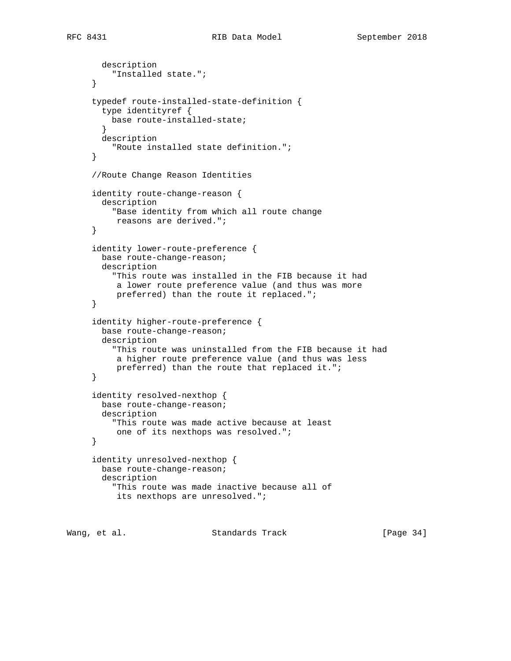```
 description
          "Installed state.";
      }
      typedef route-installed-state-definition {
        type identityref {
         base route-installed-state;
 }
       description
          "Route installed state definition.";
      }
      //Route Change Reason Identities
      identity route-change-reason {
       description
          "Base identity from which all route change
          reasons are derived.";
      }
      identity lower-route-preference {
       base route-change-reason;
       description
          "This route was installed in the FIB because it had
          a lower route preference value (and thus was more
           preferred) than the route it replaced.";
      }
      identity higher-route-preference {
       base route-change-reason;
       description
          "This route was uninstalled from the FIB because it had
          a higher route preference value (and thus was less
           preferred) than the route that replaced it.";
      }
      identity resolved-nexthop {
       base route-change-reason;
       description
          "This route was made active because at least
          one of its nexthops was resolved.";
      }
      identity unresolved-nexthop {
       base route-change-reason;
        description
          "This route was made inactive because all of
          its nexthops are unresolved.";
```
Wang, et al. Standards Track [Page 34]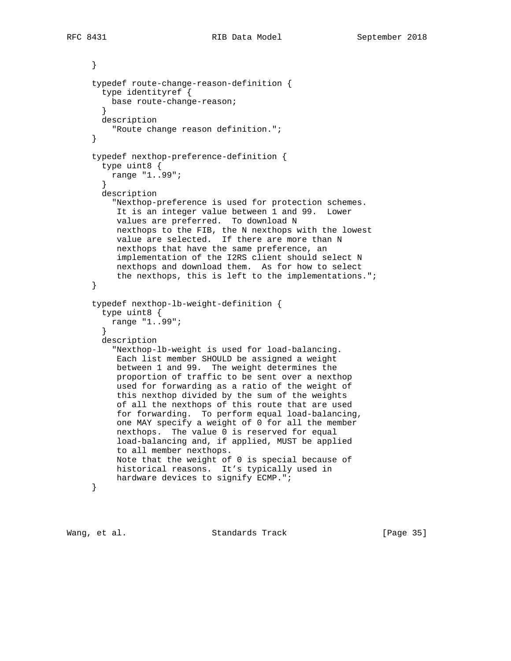} typedef route-change-reason-definition { type identityref { base route-change-reason; } description "Route change reason definition."; } typedef nexthop-preference-definition { type uint8 { range "1..99"; } description "Nexthop-preference is used for protection schemes. It is an integer value between 1 and 99. Lower values are preferred. To download N nexthops to the FIB, the N nexthops with the lowest value are selected. If there are more than N nexthops that have the same preference, an implementation of the I2RS client should select N nexthops and download them. As for how to select the nexthops, this is left to the implementations."; } typedef nexthop-lb-weight-definition { type uint8 { range "1..99"; } description "Nexthop-lb-weight is used for load-balancing. Each list member SHOULD be assigned a weight between 1 and 99. The weight determines the proportion of traffic to be sent over a nexthop used for forwarding as a ratio of the weight of this nexthop divided by the sum of the weights of all the nexthops of this route that are used for forwarding. To perform equal load-balancing, one MAY specify a weight of 0 for all the member nexthops. The value 0 is reserved for equal load-balancing and, if applied, MUST be applied to all member nexthops. Note that the weight of 0 is special because of historical reasons. It's typically used in hardware devices to signify ECMP."; }

Wang, et al. Standards Track [Page 35]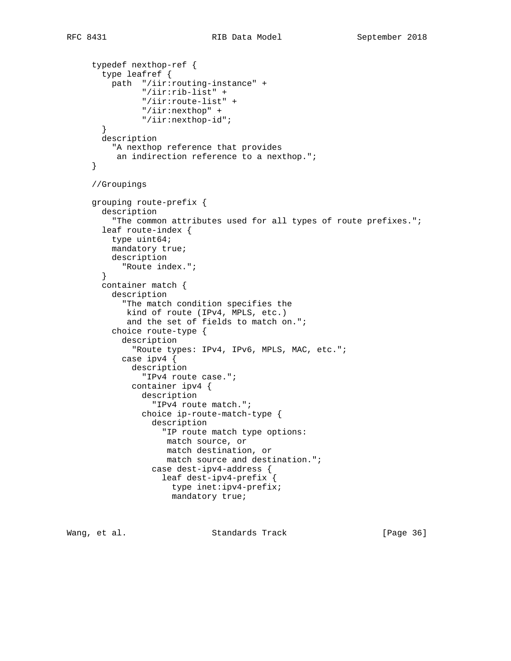```
 typedef nexthop-ref {
   type leafref {
     path "/iir:routing-instance" +
           "/iir:rib-list" +
           "/iir:route-list" +
           "/iir:nexthop" +
           "/iir:nexthop-id";
   }
   description
     "A nexthop reference that provides
     an indirection reference to a nexthop.";
 }
 //Groupings
 grouping route-prefix {
   description
     "The common attributes used for all types of route prefixes.";
   leaf route-index {
    type uint64;
     mandatory true;
     description
       "Route index.";
   }
   container match {
     description
       "The match condition specifies the
        kind of route (IPv4, MPLS, etc.)
        and the set of fields to match on.";
     choice route-type {
       description
         "Route types: IPv4, IPv6, MPLS, MAC, etc.";
       case ipv4 {
         description
           "IPv4 route case.";
         container ipv4 {
           description
             "IPv4 route match.";
           choice ip-route-match-type {
             description
                "IP route match type options:
                match source, or
                match destination, or
                match source and destination.";
             case dest-ipv4-address {
                leaf dest-ipv4-prefix {
                  type inet:ipv4-prefix;
                  mandatory true;
```
Wang, et al. Standards Track [Page 36]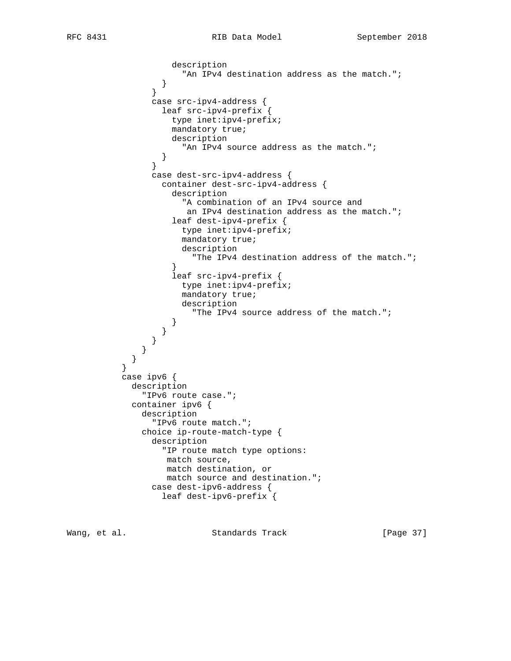```
 description
                "An IPv4 destination address as the match.";<br>}
 }
 }
               case src-ipv4-address {
                 leaf src-ipv4-prefix {
                   type inet:ipv4-prefix;
                   mandatory true;
                   description
                    "An IPv4 source address as the match.";
 }
 }
               case dest-src-ipv4-address {
                 container dest-src-ipv4-address {
                   description
                     "A combination of an IPv4 source and
                      an IPv4 destination address as the match.";
                   leaf dest-ipv4-prefix {
                     type inet:ipv4-prefix;
                     mandatory true;
                     description
                       "The IPv4 destination address of the match.";
 }
                   leaf src-ipv4-prefix {
                     type inet:ipv4-prefix;
                     mandatory true;
                     description
                       "The IPv4 source address of the match.";
 }
 }
 }
 }
 }
          case ipv6 {
            description
             "IPv6 route case.";
            container ipv6 {
              description
                "IPv6 route match.";
              choice ip-route-match-type {
               description
                 "IP route match type options:
                  match source,
                  match destination, or
                  match source and destination.";
               case dest-ipv6-address {
                 leaf dest-ipv6-prefix {
```
}

Wang, et al. Standards Track [Page 37]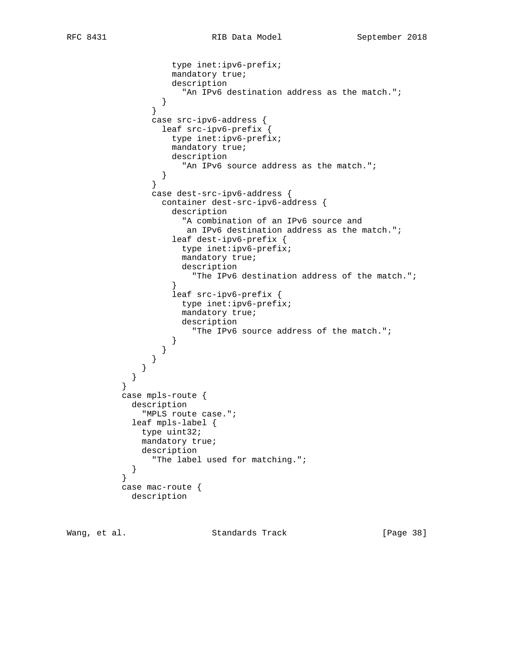```
 type inet:ipv6-prefix;
                  mandatory true;
                   description
                    "An IPv6 destination address as the match.";
 }
 }
               case src-ipv6-address {
                 leaf src-ipv6-prefix {
                  type inet:ipv6-prefix;
                  mandatory true;
                  description
                "An IPv6 source address as the match.";<br>}
 }
 }
               case dest-src-ipv6-address {
                 container dest-src-ipv6-address {
                   description
                    "A combination of an IPv6 source and
                     an IPv6 destination address as the match.";
                   leaf dest-ipv6-prefix {
                    type inet:ipv6-prefix;
                    mandatory true;
                    description
                   "The IPv6 destination address of the match.";
 }
                   leaf src-ipv6-prefix {
                    type inet:ipv6-prefix;
                    mandatory true;
                    description
                      "The IPv6 source address of the match.";
 }
 }
 }
 }
 }
          case mpls-route {
            description
             "MPLS route case.";
            leaf mpls-label {
             type uint32;
             mandatory true;
             description
               "The label used for matching.";
 }
          case mac-route {
           description
```
}

}

Wang, et al. Standards Track [Page 38]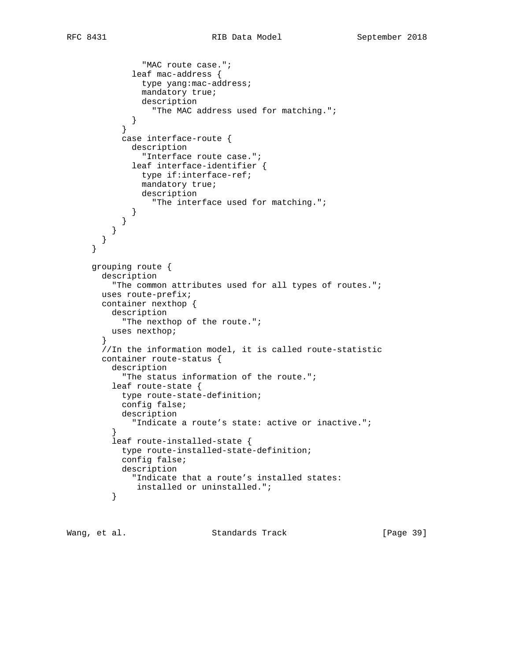```
 "MAC route case.";
             leaf mac-address {
               type yang:mac-address;
               mandatory true;
               description
                  "The MAC address used for matching.";
 }
 }
           case interface-route {
             description
               "Interface route case.";
             leaf interface-identifier {
               type if:interface-ref;
               mandatory true;
               description
                  "The interface used for matching.";
 }
           }
         }
       }
     }
     grouping route {
       description
          "The common attributes used for all types of routes.";
       uses route-prefix;
       container nexthop {
         description
            "The nexthop of the route.";
         uses nexthop;
       }
       //In the information model, it is called route-statistic
       container route-status {
         description
           "The status information of the route.";
         leaf route-state {
           type route-state-definition;
           config false;
           description
             "Indicate a route's state: active or inactive.";
 }
         leaf route-installed-state {
           type route-installed-state-definition;
           config false;
           description
             "Indicate that a route's installed states:
         installed or uninstalled.";<br>}
 }
```
Wang, et al. Standards Track [Page 39]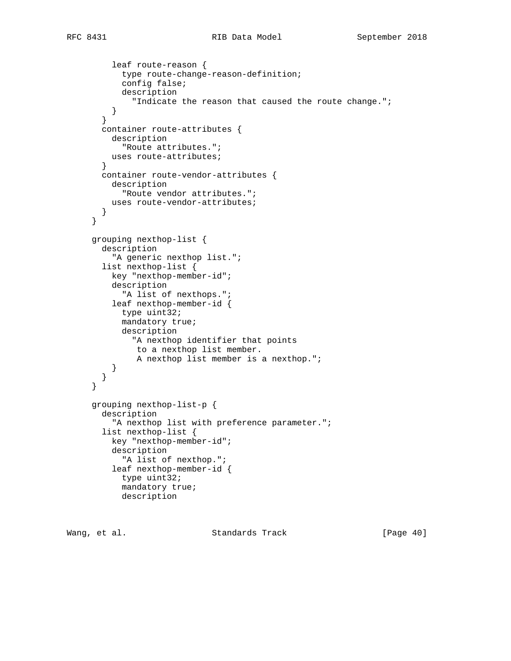```
 leaf route-reason {
       type route-change-reason-definition;
       config false;
       description
         "Indicate the reason that caused the route change.";
     }
   }
   container route-attributes {
     description
       "Route attributes.";
     uses route-attributes;
   }
   container route-vendor-attributes {
    description
       "Route vendor attributes.";
    uses route-vendor-attributes;
   }
 }
 grouping nexthop-list {
   description
     "A generic nexthop list.";
   list nexthop-list {
     key "nexthop-member-id";
     description
       "A list of nexthops.";
     leaf nexthop-member-id {
       type uint32;
       mandatory true;
       description
         "A nexthop identifier that points
          to a nexthop list member.
          A nexthop list member is a nexthop.";
     }
   }
 }
 grouping nexthop-list-p {
   description
    "A nexthop list with preference parameter.";
   list nexthop-list {
     key "nexthop-member-id";
     description
       "A list of nexthop.";
     leaf nexthop-member-id {
       type uint32;
       mandatory true;
       description
```
Wang, et al. Standards Track [Page 40]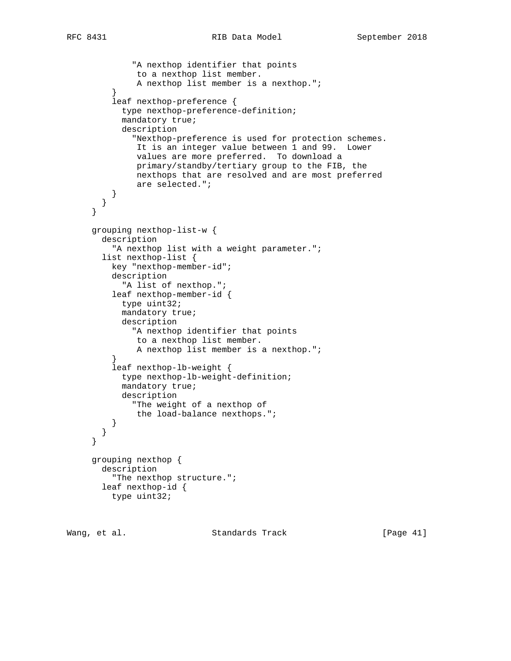```
 "A nexthop identifier that points
               to a nexthop list member.
               A nexthop list member is a nexthop.";
 }
          leaf nexthop-preference {
           type nexthop-preference-definition;
            mandatory true;
            description
              "Nexthop-preference is used for protection schemes.
              It is an integer value between 1 and 99. Lower
               values are more preferred. To download a
               primary/standby/tertiary group to the FIB, the
              nexthops that are resolved and are most preferred
               are selected.";
 }
        }
     }
     grouping nexthop-list-w {
       description
         "A nexthop list with a weight parameter.";
        list nexthop-list {
         key "nexthop-member-id";
         description
            "A list of nexthop.";
         leaf nexthop-member-id {
           type uint32;
           mandatory true;
           description
              "A nexthop identifier that points
              to a nexthop list member.
         A nexthop list member is a nexthop.";<br>}
 }
         leaf nexthop-lb-weight {
           type nexthop-lb-weight-definition;
           mandatory true;
           description
              "The weight of a nexthop of
               the load-balance nexthops.";
 }
       }
     }
     grouping nexthop {
       description
          "The nexthop structure.";
       leaf nexthop-id {
         type uint32;
```
Wang, et al. Standards Track [Page 41]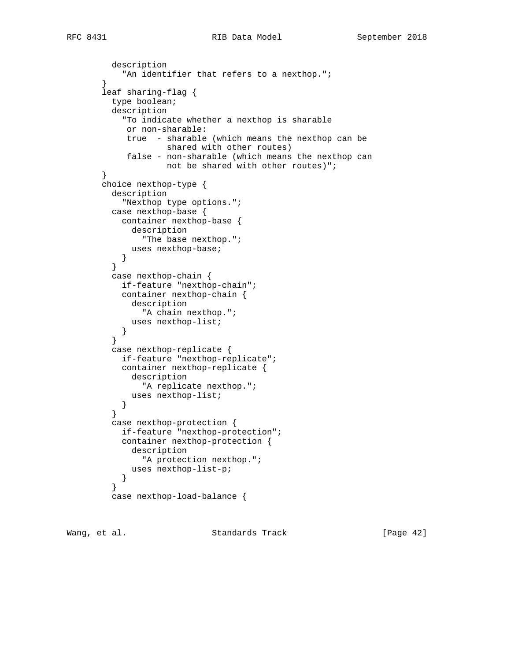```
 description
           "An identifier that refers to a nexthop.";
        }
        leaf sharing-flag {
          type boolean;
          description
            "To indicate whether a nexthop is sharable
             or non-sharable:
             true - sharable (which means the nexthop can be
                     shared with other routes)
             false - non-sharable (which means the nexthop can
                     not be shared with other routes)";
        }
        choice nexthop-type {
          description
            "Nexthop type options.";
          case nexthop-base {
            container nexthop-base {
              description
                "The base nexthop.";
              uses nexthop-base;
         \begin{matrix} \end{matrix} }
          case nexthop-chain {
            if-feature "nexthop-chain";
            container nexthop-chain {
              description
                 "A chain nexthop.";
           uses nexthop-list;<br>}
 }
 }
          case nexthop-replicate {
            if-feature "nexthop-replicate";
            container nexthop-replicate {
              description
                "A replicate nexthop.";
              uses nexthop-list;
         \begin{matrix} \end{matrix} }
          case nexthop-protection {
            if-feature "nexthop-protection";
            container nexthop-protection {
             description
                "A protection nexthop.";
              uses nexthop-list-p;
         \begin{matrix} \end{matrix} }
          case nexthop-load-balance {
```
Wang, et al. Standards Track [Page 42]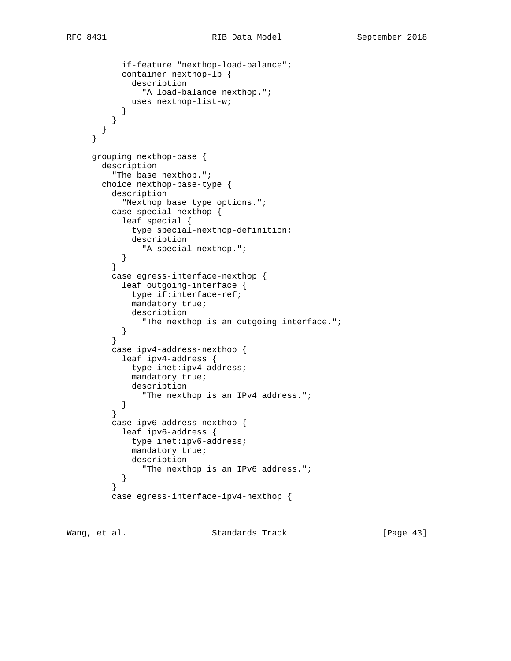```
 if-feature "nexthop-load-balance";
           container nexthop-lb {
              description
                "A load-balance nexthop.";
              uses nexthop-list-w;
 }
 }
       }
     }
     grouping nexthop-base {
       description
          "The base nexthop.";
       choice nexthop-base-type {
         description
           "Nexthop base type options.";
         case special-nexthop {
           leaf special {
             type special-nexthop-definition;
              description
                "A special nexthop.";
           }
          }
         case egress-interface-nexthop {
           leaf outgoing-interface {
             type if:interface-ref;
             mandatory true;
             description
                "The nexthop is an outgoing interface.";
 }
 }
         case ipv4-address-nexthop {
           leaf ipv4-address {
             type inet:ipv4-address;
             mandatory true;
             description
               "The nexthop is an IPv4 address.";
         \begin{matrix} \end{matrix} }
         case ipv6-address-nexthop {
           leaf ipv6-address {
             type inet:ipv6-address;
             mandatory true;
             description
                "The nexthop is an IPv6 address.";
 }
 }
         case egress-interface-ipv4-nexthop {
```
Wang, et al. Standards Track [Page 43]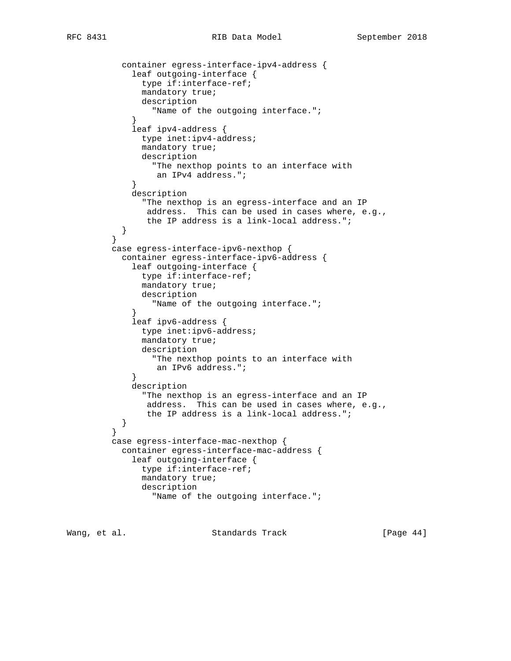```
 container egress-interface-ipv4-address {
             leaf outgoing-interface {
               type if:interface-ref;
               mandatory true;
               description
                 "Name of the outgoing interface.";
 }
             leaf ipv4-address {
               type inet:ipv4-address;
               mandatory true;
               description
                 "The nexthop points to an interface with
            an IPv4 address.";
 }
             description
               "The nexthop is an egress-interface and an IP
                address. This can be used in cases where, e.g.,
                the IP address is a link-local address.";
        \begin{matrix} \end{matrix} }
         case egress-interface-ipv6-nexthop {
           container egress-interface-ipv6-address {
             leaf outgoing-interface {
               type if:interface-ref;
               mandatory true;
               description
                 "Name of the outgoing interface.";
 }
             leaf ipv6-address {
               type inet:ipv6-address;
               mandatory true;
               description
                 "The nexthop points to an interface with
            an IPv6 address.";
 }
             description
               "The nexthop is an egress-interface and an IP
                address. This can be used in cases where, e.g.,
                the IP address is a link-local address.";
 }
 }
         case egress-interface-mac-nexthop {
           container egress-interface-mac-address {
             leaf outgoing-interface {
               type if:interface-ref;
               mandatory true;
               description
                 "Name of the outgoing interface.";
```
Wang, et al. Standards Track [Page 44]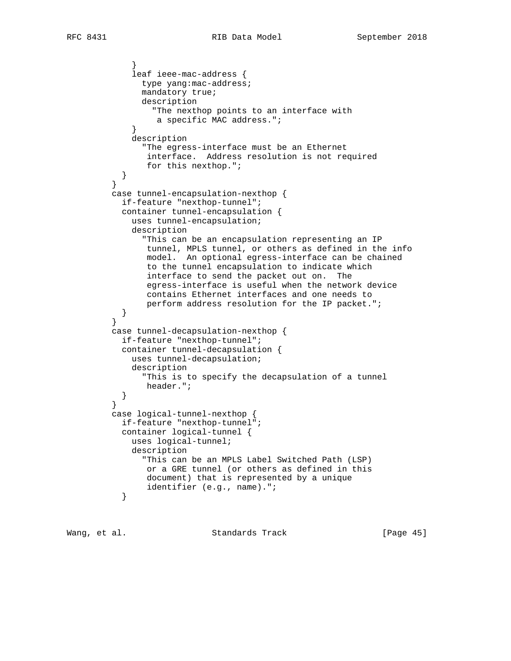```
 }
             leaf ieee-mac-address {
              type yang:mac-address;
               mandatory true;
               description
                 "The nexthop points to an interface with
            a specific MAC address.";
 }
             description
               "The egress-interface must be an Ethernet
               interface. Address resolution is not required
          for this nexthop.";<br>}
 }
 }
         case tunnel-encapsulation-nexthop {
           if-feature "nexthop-tunnel";
           container tunnel-encapsulation {
             uses tunnel-encapsulation;
             description
               "This can be an encapsulation representing an IP
                tunnel, MPLS tunnel, or others as defined in the info
                model. An optional egress-interface can be chained
                to the tunnel encapsulation to indicate which
                interface to send the packet out on. The
                egress-interface is useful when the network device
                contains Ethernet interfaces and one needs to
                perform address resolution for the IP packet.";
 }
 }
         case tunnel-decapsulation-nexthop {
           if-feature "nexthop-tunnel";
           container tunnel-decapsulation {
            uses tunnel-decapsulation;
             description
               "This is to specify the decapsulation of a tunnel
          header.";<br>}
 }
 }
         case logical-tunnel-nexthop {
           if-feature "nexthop-tunnel";
           container logical-tunnel {
             uses logical-tunnel;
             description
               "This can be an MPLS Label Switched Path (LSP)
                or a GRE tunnel (or others as defined in this
                document) that is represented by a unique
          identifier (e.g., name).";
 }
```
Wang, et al. Standards Track [Page 45]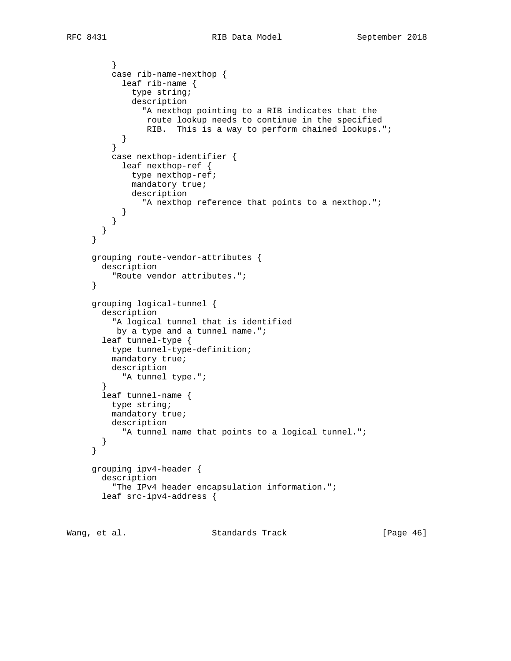```
 }
          case rib-name-nexthop {
            leaf rib-name {
              type string;
              description
                "A nexthop pointing to a RIB indicates that the
                route lookup needs to continue in the specified
           RIB. This is a way to perform chained lookups.";<br>}
 }
 }
          case nexthop-identifier {
            leaf nexthop-ref {
             type nexthop-ref;
              mandatory true;
             description
                "A nexthop reference that points to a nexthop.";
           }
          }
       }
      }
     grouping route-vendor-attributes {
       description
          "Route vendor attributes.";
      }
     grouping logical-tunnel {
       description
          "A logical tunnel that is identified
          by a type and a tunnel name.";
        leaf tunnel-type {
         type tunnel-type-definition;
          mandatory true;
         description
            "A tunnel type.";
        }
        leaf tunnel-name {
         type string;
         mandatory true;
         description
            "A tunnel name that points to a logical tunnel.";
        }
      }
     grouping ipv4-header {
       description
          "The IPv4 header encapsulation information.";
       leaf src-ipv4-address {
```
Wang, et al. Standards Track [Page 46]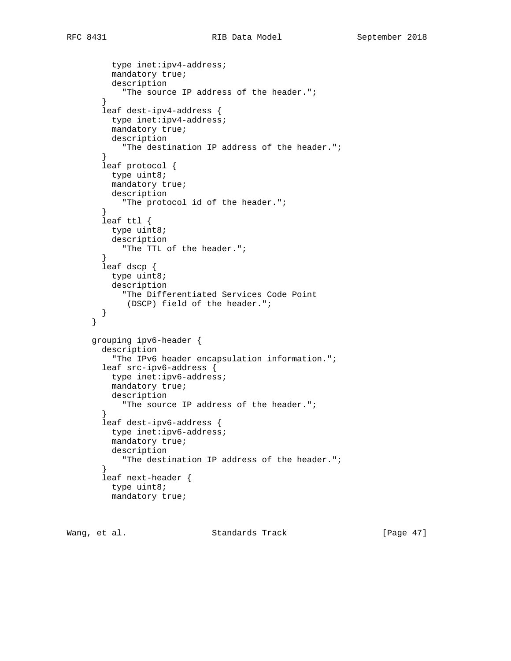```
 type inet:ipv4-address;
          mandatory true;
          description
            "The source IP address of the header.";
 }
        leaf dest-ipv4-address {
         type inet:ipv4-address;
          mandatory true;
          description
            "The destination IP address of the header.";
 }
        leaf protocol {
         type uint8;
          mandatory true;
         description
            "The protocol id of the header.";
 }
        leaf ttl {
         type uint8;
          description
            "The TTL of the header.";
        }
        leaf dscp {
          type uint8;
          description
            "The Differentiated Services Code Point
             (DSCP) field of the header.";
        }
      }
     grouping ipv6-header {
        description
          "The IPv6 header encapsulation information.";
        leaf src-ipv6-address {
         type inet:ipv6-address;
          mandatory true;
         description
           "The source IP address of the header.";
        }
        leaf dest-ipv6-address {
         type inet:ipv6-address;
          mandatory true;
          description
           "The destination IP address of the header.";
        }
        leaf next-header {
         type uint8;
          mandatory true;
```
Wang, et al. Standards Track [Page 47]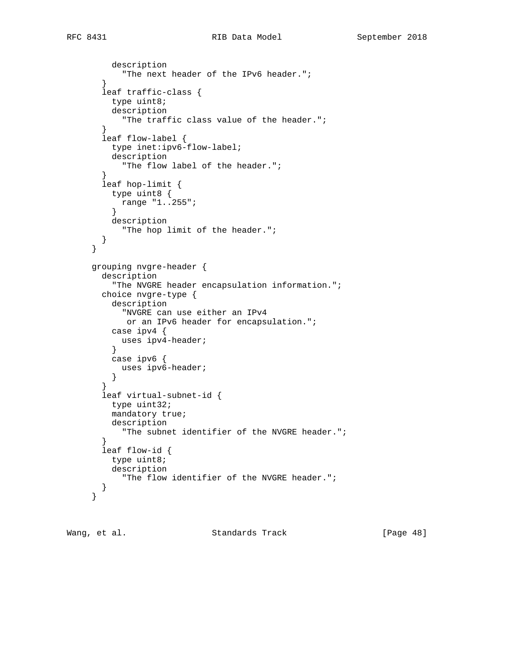```
 description
       "The next header of the IPv6 header.";
   }
   leaf traffic-class {
     type uint8;
     description
       "The traffic class value of the header.";
   }
   leaf flow-label {
     type inet:ipv6-flow-label;
     description
       "The flow label of the header.";
   }
   leaf hop-limit {
    type uint8 {
      range "1..255";
     }
     description
       "The hop limit of the header.";
   }
 }
 grouping nvgre-header {
   description
     "The NVGRE header encapsulation information.";
   choice nvgre-type {
     description
       "NVGRE can use either an IPv4
       or an IPv6 header for encapsulation.";
     case ipv4 {
       uses ipv4-header;
     }
     case ipv6 {
       uses ipv6-header;
     }
   }
   leaf virtual-subnet-id {
    type uint32;
     mandatory true;
     description
       "The subnet identifier of the NVGRE header.";
   }
   leaf flow-id {
     type uint8;
     description
       "The flow identifier of the NVGRE header.";
   }
 }
```
Wang, et al. Standards Track [Page 48]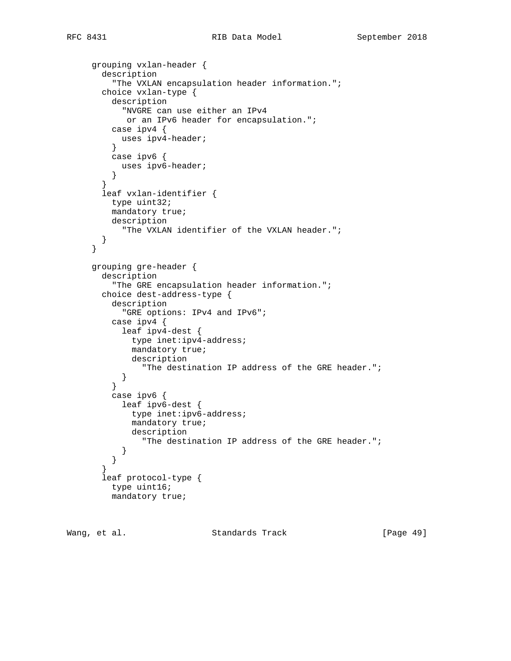```
 grouping vxlan-header {
        description
          "The VXLAN encapsulation header information.";
        choice vxlan-type {
          description
            "NVGRE can use either an IPv4
             or an IPv6 header for encapsulation.";
          case ipv4 {
            uses ipv4-header;
          }
          case ipv6 {
           uses ipv6-header;
       \begin{matrix} \end{matrix} }
        leaf vxlan-identifier {
          type uint32;
          mandatory true;
          description
            "The VXLAN identifier of the VXLAN header.";
        }
      }
      grouping gre-header {
        description
          "The GRE encapsulation header information.";
        choice dest-address-type {
          description
             "GRE options: IPv4 and IPv6";
          case ipv4 {
            leaf ipv4-dest {
              type inet:ipv4-address;
              mandatory true;
              description
                 "The destination IP address of the GRE header.";
         \begin{matrix} \end{matrix} }
          case ipv6 {
            leaf ipv6-dest {
              type inet:ipv6-address;
              mandatory true;
              description
                 "The destination IP address of the GRE header.";
            }
          }
        }
        leaf protocol-type {
          type uint16;
          mandatory true;
```
Wang, et al. Standards Track [Page 49]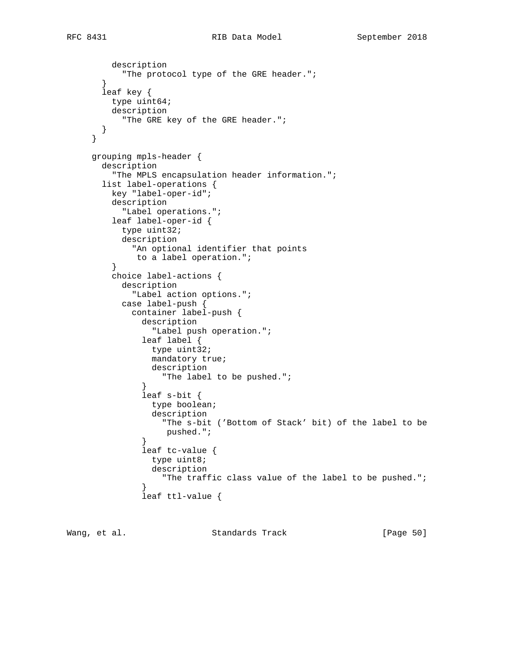```
 description
            "The protocol type of the GRE header.";
        }
       leaf key {
         type uint64;
         description
           "The GRE key of the GRE header.";
       }
      }
     grouping mpls-header {
       description
         "The MPLS encapsulation header information.";
       list label-operations {
         key "label-oper-id";
         description
           "Label operations.";
         leaf label-oper-id {
           type uint32;
           description
             "An optional identifier that points
              to a label operation.";
 }
         choice label-actions {
           description
              "Label action options.";
           case label-push {
             container label-push {
                description
                  "Label push operation.";
                leaf label {
                 type uint32;
                 mandatory true;
                 description
                    "The label to be pushed.";
 }
                leaf s-bit {
                 type boolean;
                  description
                   "The s-bit ('Bottom of Stack' bit) of the label to be
                    pushed.";
 }
                leaf tc-value {
                 type uint8;
                  description
                    "The traffic class value of the label to be pushed.";
 }
                leaf ttl-value {
```
Wang, et al. Standards Track [Page 50]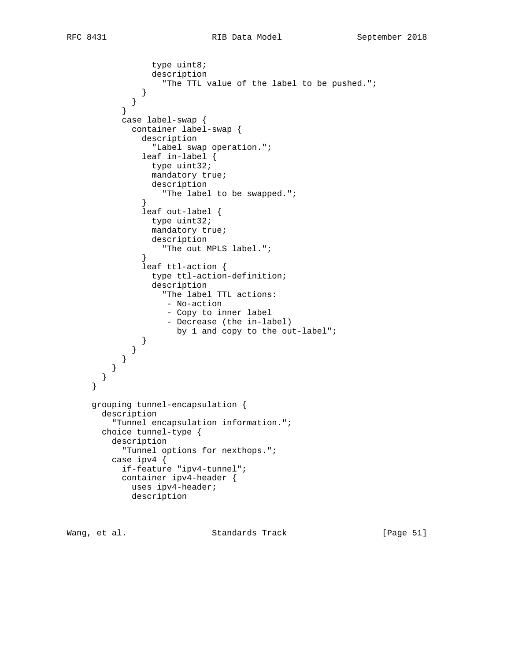```
 type uint8;
                 description
                   "The TTL value of the label to be pushed.";
 }
 }
 }
           case label-swap {
             container label-swap {
               description
                 "Label swap operation.";
               leaf in-label {
                type uint32;
                 mandatory true;
                description
                  "The label to be swapped.";
 }
               leaf out-label {
                type uint32;
                 mandatory true;
                 description
                   "The out MPLS label.";
 }
               leaf ttl-action {
                 type ttl-action-definition;
                 description
                   "The label TTL actions:
                    - No-action
                    - Copy to inner label
                    - Decrease (the in-label)
                     by 1 and copy to the out-label";
 }
             }
          }
         }
       }
     grouping tunnel-encapsulation {
       description
         "Tunnel encapsulation information.";
       choice tunnel-type {
         description
           "Tunnel options for nexthops.";
         case ipv4 {
           if-feature "ipv4-tunnel";
           container ipv4-header {
            uses ipv4-header;
             description
```
}

Wang, et al. Standards Track [Page 51]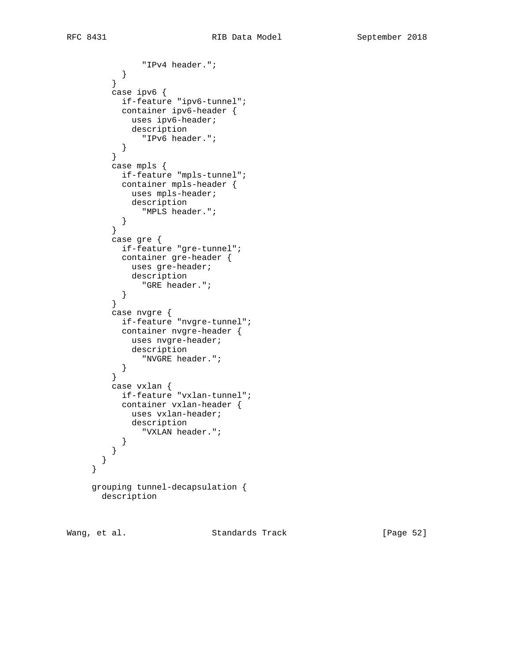"IPv4 header.";  $\begin{matrix} \end{matrix}$  } case ipv6 { if-feature "ipv6-tunnel"; container ipv6-header { uses ipv6-header; description "IPv6 header."; } } case mpls { if-feature "mpls-tunnel"; container mpls-header { uses mpls-header; description "MPLS header."; } } case gre { if-feature "gre-tunnel"; container gre-header { uses gre-header; description "GRE header.";  $\begin{matrix} \end{matrix}$  } case nvgre { if-feature "nvgre-tunnel"; container nvgre-header { uses nvgre-header; description "NVGRE header."; } } case vxlan { if-feature "vxlan-tunnel"; container vxlan-header { uses vxlan-header; description "VXLAN header."; } } } } grouping tunnel-decapsulation { description

Wang, et al. Standards Track [Page 52]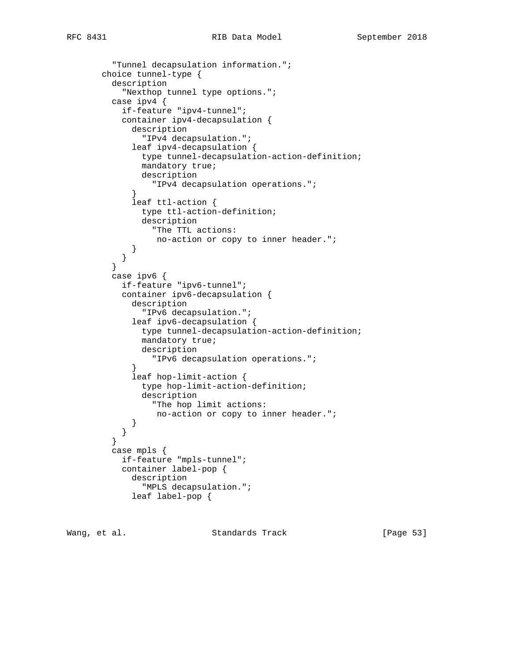```
RFC 8431 RIB Data Model September 2018
```

```
 "Tunnel decapsulation information.";
        choice tunnel-type {
          description
            "Nexthop tunnel type options.";
          case ipv4 {
            if-feature "ipv4-tunnel";
            container ipv4-decapsulation {
              description
                "IPv4 decapsulation.";
              leaf ipv4-decapsulation {
                type tunnel-decapsulation-action-definition;
                mandatory true;
                description
              "IPv4 decapsulation operations.";
 }
              leaf ttl-action {
                type ttl-action-definition;
                description
                  "The TTL actions:
                  no-action or copy to inner header.";
 }
         \begin{matrix} \end{matrix} }
          case ipv6 {
            if-feature "ipv6-tunnel";
            container ipv6-decapsulation {
              description
                "IPv6 decapsulation.";
              leaf ipv6-decapsulation {
                type tunnel-decapsulation-action-definition;
                mandatory true;
                description
                  "IPv6 decapsulation operations.";
 }
              leaf hop-limit-action {
                type hop-limit-action-definition;
                description
                  "The hop limit actions:
                  no-action or copy to inner header.";
 }
         \begin{matrix} \end{matrix} }
          case mpls {
           if-feature "mpls-tunnel";
            container label-pop {
              description
                "MPLS decapsulation.";
              leaf label-pop {
```
Wang, et al. Standards Track [Page 53]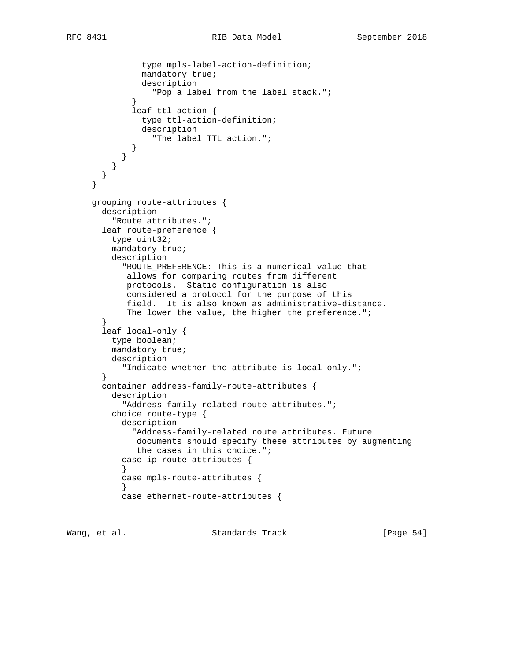```
 type mpls-label-action-definition;
               mandatory true;
               description
                  "Pop a label from the label stack.";
 }
             leaf ttl-action {
               type ttl-action-definition;
               description
                  "The label TTL action.";
 }
           }
         }
       }
     }
     grouping route-attributes {
       description
         "Route attributes.";
       leaf route-preference {
         type uint32;
         mandatory true;
         description
            "ROUTE_PREFERENCE: This is a numerical value that
            allows for comparing routes from different
            protocols. Static configuration is also
            considered a protocol for the purpose of this
            field. It is also known as administrative-distance.
           The lower the value, the higher the preference.";
 }
       leaf local-only {
         type boolean;
         mandatory true;
         description
           "Indicate whether the attribute is local only.";
       }
       container address-family-route-attributes {
         description
           "Address-family-related route attributes.";
         choice route-type {
           description
              "Address-family-related route attributes. Future
              documents should specify these attributes by augmenting
              the cases in this choice.";
           case ip-route-attributes {
 }
           case mpls-route-attributes {
 }
           case ethernet-route-attributes {
```
Wang, et al. Standards Track [Page 54]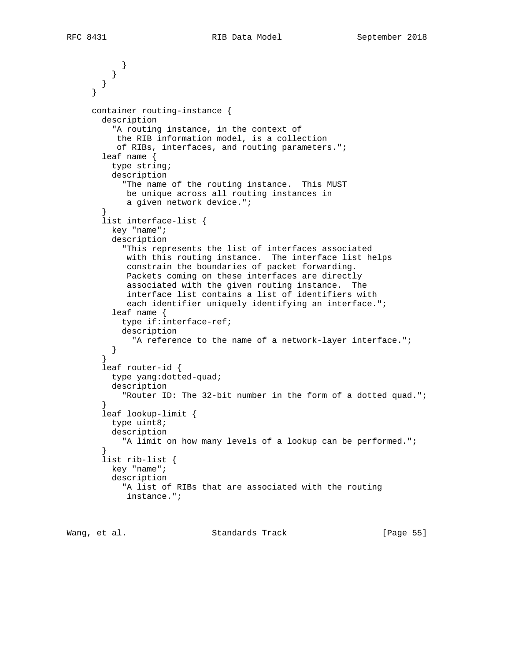```
 }
 }
        }
     }
     container routing-instance {
       description
          "A routing instance, in the context of
          the RIB information model, is a collection
          of RIBs, interfaces, and routing parameters.";
        leaf name {
         type string;
         description
            "The name of the routing instance. This MUST
            be unique across all routing instances in
             a given network device.";
 }
        list interface-list {
         key "name";
         description
            "This represents the list of interfaces associated
            with this routing instance. The interface list helps
            constrain the boundaries of packet forwarding.
            Packets coming on these interfaces are directly
            associated with the given routing instance. The
             interface list contains a list of identifiers with
            each identifier uniquely identifying an interface.";
         leaf name {
           type if:interface-ref;
           description
             "A reference to the name of a network-layer interface.";
         }
        }
        leaf router-id {
         type yang:dotted-quad;
         description
           "Router ID: The 32-bit number in the form of a dotted quad.";
 }
        leaf lookup-limit {
         type uint8;
         description
           "A limit on how many levels of a lookup can be performed.";
 }
        list rib-list {
         key "name";
         description
            "A list of RIBs that are associated with the routing
            instance.";
```
Wang, et al. Standards Track [Page 55]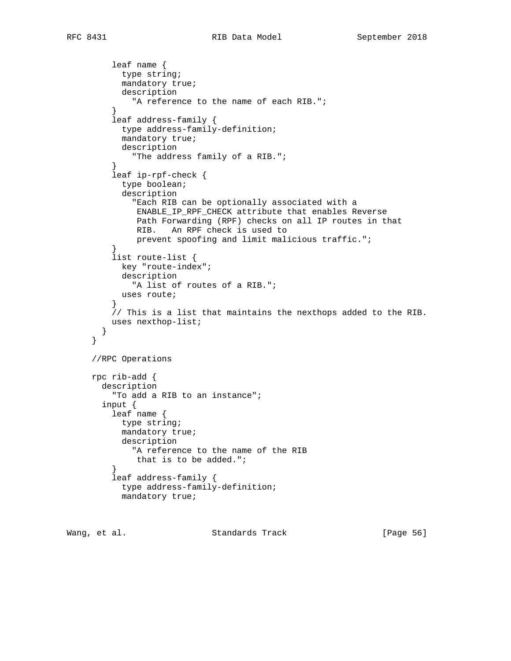```
 leaf name {
           type string;
           mandatory true;
           description
             "A reference to the name of each RIB.";
 }
         leaf address-family {
           type address-family-definition;
           mandatory true;
           description
          "The address family of a RIB.";
 }
         leaf ip-rpf-check {
           type boolean;
           description
              "Each RIB can be optionally associated with a
              ENABLE_IP_RPF_CHECK attribute that enables Reverse
              Path Forwarding (RPF) checks on all IP routes in that
              RIB. An RPF check is used to
              prevent spoofing and limit malicious traffic.";
 }
         list route-list {
           key "route-index";
           description
              "A list of routes of a RIB.";
         uses route;<br>}
 }
         // This is a list that maintains the nexthops added to the RIB.
         uses nexthop-list;
       }
     }
     //RPC Operations
     rpc rib-add {
       description
         "To add a RIB to an instance";
       input {
         leaf name {
           type string;
           mandatory true;
           description
             "A reference to the name of the RIB
             that is to be added.";
 }
         leaf address-family {
           type address-family-definition;
           mandatory true;
```
Wang, et al. Standards Track [Page 56]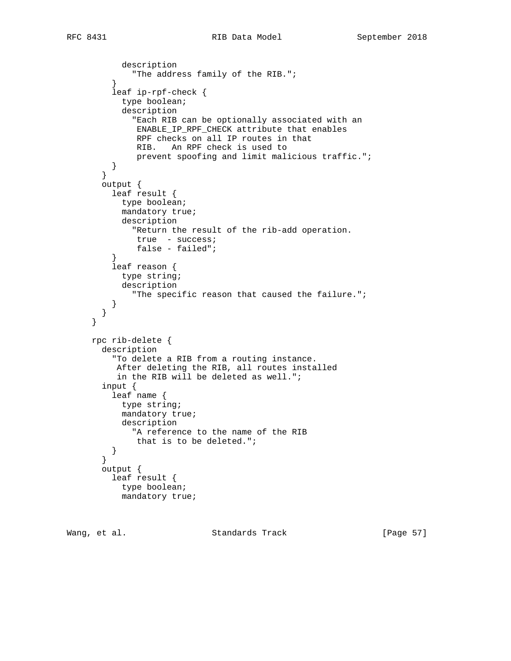```
 description
          "The address family of the RIB.";
 }
          leaf ip-rpf-check {
           type boolean;
            description
              "Each RIB can be optionally associated with an
               ENABLE_IP_RPF_CHECK attribute that enables
               RPF checks on all IP routes in that
              RIB. An RPF check is used to
               prevent spoofing and limit malicious traffic.";
          }
        }
       output {
         leaf result {
           type boolean;
           mandatory true;
           description
              "Return the result of the rib-add operation.
              true - success;
              false - failed";
 }
          leaf reason {
           type string;
           description
              "The specific reason that caused the failure.";
 }
        }
     }
     rpc rib-delete {
       description
          "To delete a RIB from a routing instance.
          After deleting the RIB, all routes installed
          in the RIB will be deleted as well.";
        input {
         leaf name {
           type string;
           mandatory true;
           description
             "A reference to the name of the RIB
              that is to be deleted.";
         }
        }
       output {
         leaf result {
           type boolean;
           mandatory true;
```
Wang, et al. Standards Track [Page 57]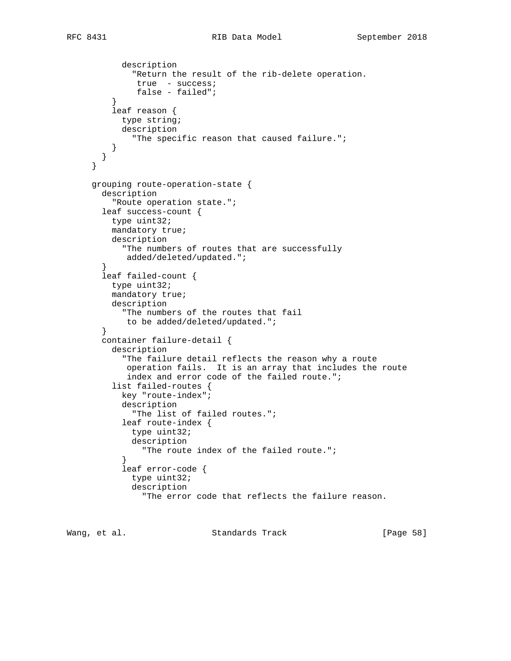```
 description
              "Return the result of the rib-delete operation.
               true - success;
               false - failed";
 }
          leaf reason {
           type string;
            description
              "The specific reason that caused failure.";
          }
       }
      }
     grouping route-operation-state {
       description
          "Route operation state.";
       leaf success-count {
         type uint32;
         mandatory true;
          description
            "The numbers of routes that are successfully
            added/deleted/updated.";
 }
        leaf failed-count {
         type uint32;
         mandatory true;
         description
            "The numbers of the routes that fail
             to be added/deleted/updated.";
        }
        container failure-detail {
          description
            "The failure detail reflects the reason why a route
            operation fails. It is an array that includes the route
             index and error code of the failed route.";
          list failed-routes {
            key "route-index";
            description
              "The list of failed routes.";
            leaf route-index {
              type uint32;
              description
               "The route index of the failed route.";
 }
            leaf error-code {
              type uint32;
              description
                "The error code that reflects the failure reason.
```
Wang, et al. Standards Track [Page 58]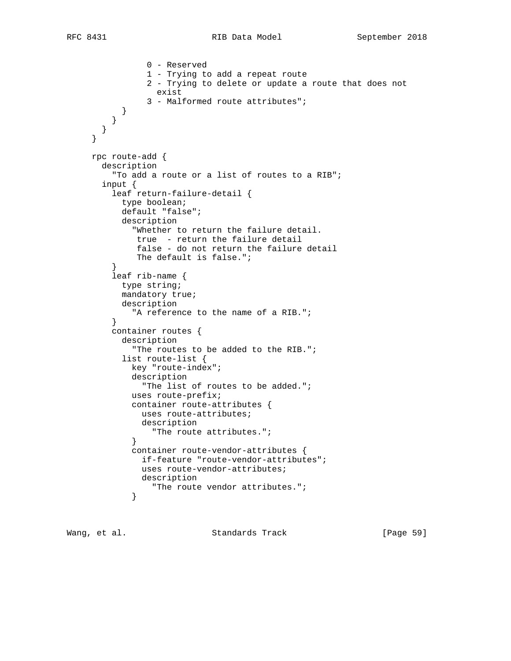```
 0 - Reserved
                 1 - Trying to add a repeat route
                 2 - Trying to delete or update a route that does not
                  exist
                 3 - Malformed route attributes";
 }
         }
       }
     }
     rpc route-add {
       description
         "To add a route or a list of routes to a RIB";
       input {
         leaf return-failure-detail {
           type boolean;
           default "false";
           description
             "Whether to return the failure detail.
              true - return the failure detail
              false - do not return the failure detail
              The default is false.";
 }
         leaf rib-name {
           type string;
           mandatory true;
           description
              "A reference to the name of a RIB.";
          }
         container routes {
           description
              "The routes to be added to the RIB.";
            list route-list {
             key "route-index";
             description
               "The list of routes to be added.";
             uses route-prefix;
             container route-attributes {
               uses route-attributes;
               description
              "The route attributes.";
 }
             container route-vendor-attributes {
               if-feature "route-vendor-attributes";
               uses route-vendor-attributes;
               description
             "The route vendor attributes.";<br>}
 }
```
Wang, et al. Standards Track [Page 59]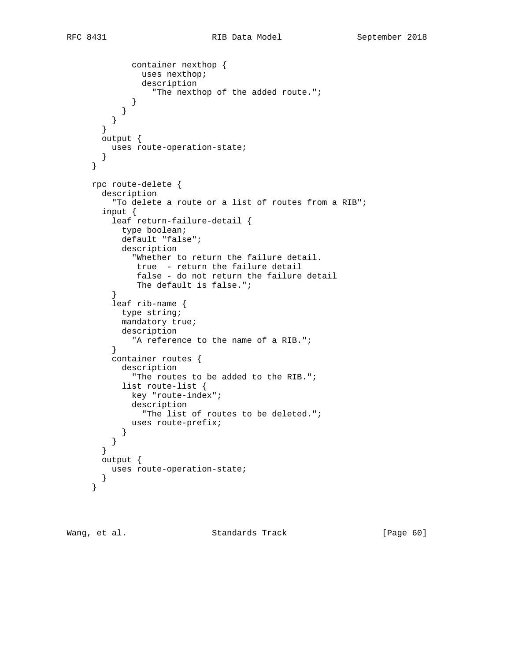```
 container nexthop {
               uses nexthop;
                description
                  "The nexthop of the added route.";
 }
 }
          }
       }
       output {
         uses route-operation-state;
       }
     }
     rpc route-delete {
       description
          "To delete a route or a list of routes from a RIB";
       input {
          leaf return-failure-detail {
           type boolean;
           default "false";
           description
              "Whether to return the failure detail.
              true - return the failure detail
              false - do not return the failure detail
              The default is false.";
 }
          leaf rib-name {
           type string;
           mandatory true;
           description
             "A reference to the name of a RIB.";
          }
         container routes {
           description
              "The routes to be added to the RIB.";
           list route-list {
             key "route-index";
              description
               "The list of routes to be deleted.";
             uses route-prefix;
           }
          }
        }
       output {
         uses route-operation-state;
        }
     }
```
Wang, et al. Standards Track [Page 60]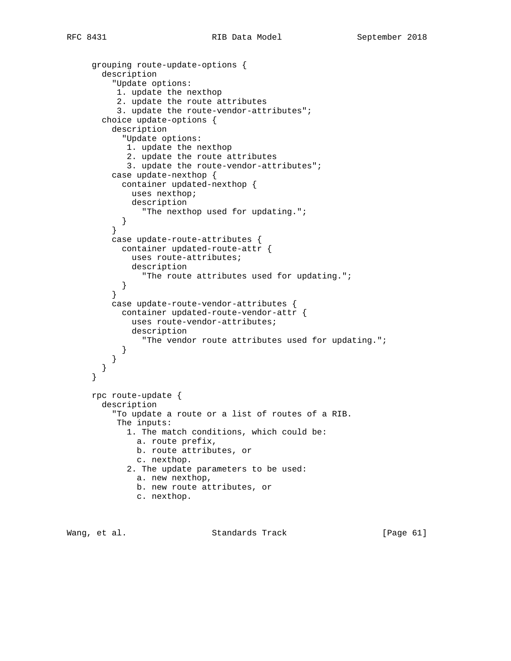```
 grouping route-update-options {
       description
          "Update options:
           1. update the nexthop
           2. update the route attributes
           3. update the route-vendor-attributes";
        choice update-options {
          description
            "Update options:
            1. update the nexthop
             2. update the route attributes
             3. update the route-vendor-attributes";
          case update-nexthop {
           container updated-nexthop {
              uses nexthop;
             description
                "The nexthop used for updating.";
           }
          }
          case update-route-attributes {
           container updated-route-attr {
             uses route-attributes;
              description
           "The route attributes used for updating.";<br>}
 }
 }
          case update-route-vendor-attributes {
           container updated-route-vendor-attr {
              uses route-vendor-attributes;
              description
                "The vendor route attributes used for updating.";
           }
 }
       }
     }
     rpc route-update {
       description
          "To update a route or a list of routes of a RIB.
           The inputs:
             1. The match conditions, which could be:
              a. route prefix,
              b. route attributes, or
               c. nexthop.
             2. The update parameters to be used:
               a. new nexthop,
              b. new route attributes, or
               c. nexthop.
```
Wang, et al. Standards Track [Page 61]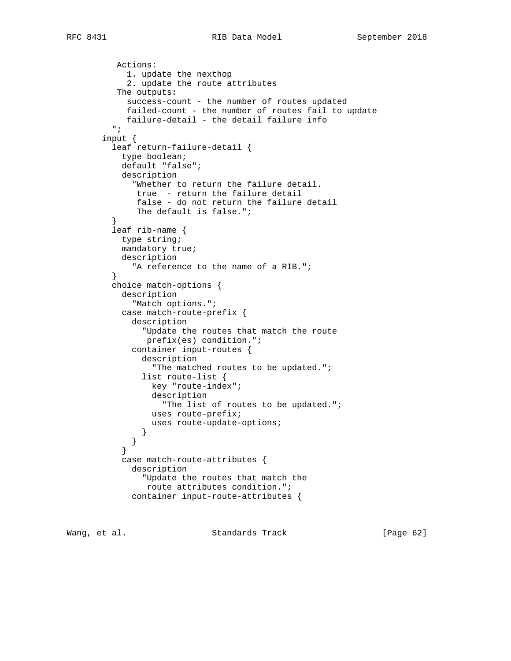```
 Actions:
            1. update the nexthop
            2. update the route attributes
          The outputs:
            success-count - the number of routes updated
            failed-count - the number of routes fail to update
            failure-detail - the detail failure info
          ";
        input {
         leaf return-failure-detail {
           type boolean;
           default "false";
           description
             "Whether to return the failure detail.
              true - return the failure detail
              false - do not return the failure detail
         The default is false.";<br>}
 }
         leaf rib-name {
           type string;
           mandatory true;
           description
         "A reference to the name of a RIB.";<br>}
 }
         choice match-options {
           description
              "Match options.";
           case match-route-prefix {
             description
               "Update the routes that match the route
                prefix(es) condition.";
             container input-routes {
               description
                  "The matched routes to be updated.";
               list route-list {
                 key "route-index";
                 description
                   "The list of routes to be updated.";
                 uses route-prefix;
                 uses route-update-options;
 }
 }
 }
           case match-route-attributes {
             description
               "Update the routes that match the
                route attributes condition.";
             container input-route-attributes {
```
Wang, et al. Standards Track [Page 62]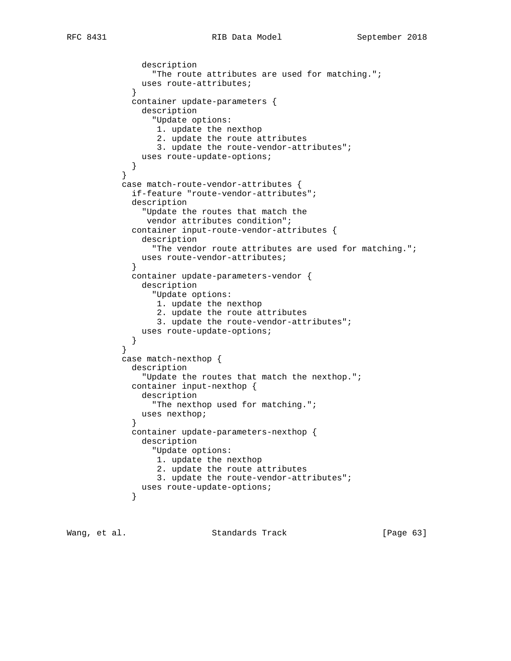```
RFC 8431 RIB Data Model September 2018
```

```
 description
                 "The route attributes are used for matching.";
               uses route-attributes;
 }
             container update-parameters {
               description
                 "Update options:
                  1. update the nexthop
                  2. update the route attributes
                  3. update the route-vendor-attributes";
            uses route-update-options;
 }
 }
           case match-route-vendor-attributes {
             if-feature "route-vendor-attributes";
             description
               "Update the routes that match the
                vendor attributes condition";
             container input-route-vendor-attributes {
               description
                 "The vendor route attributes are used for matching.";
               uses route-vendor-attributes;
 }
             container update-parameters-vendor {
               description
                 "Update options:
                  1. update the nexthop
                  2. update the route attributes
                  3. update the route-vendor-attributes";
               uses route-update-options;
 }
 }
           case match-nexthop {
             description
               "Update the routes that match the nexthop.";
             container input-nexthop {
               description
                 "The nexthop used for matching.";
               uses nexthop;
 }
             container update-parameters-nexthop {
               description
                 "Update options:
                  1. update the nexthop
                  2. update the route attributes
                  3. update the route-vendor-attributes";
            uses route-update-options;
 }
```
Wang, et al. Standards Track [Page 63]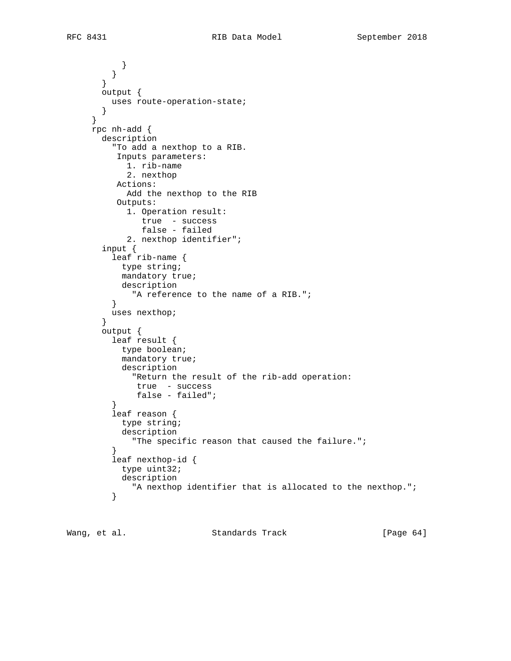$\begin{matrix} \end{matrix}$  } } output { uses route-operation-state; } } rpc nh-add { description "To add a nexthop to a RIB. Inputs parameters: 1. rib-name 2. nexthop Actions: Add the nexthop to the RIB Outputs: 1. Operation result: true - success false - failed 2. nexthop identifier"; input { leaf rib-name { type string; mandatory true; description "A reference to the name of a RIB."; } uses nexthop; } output { leaf result { type boolean; mandatory true; description "Return the result of the rib-add operation: true - success false - failed"; } leaf reason { type string; description "The specific reason that caused the failure.";<br>} } leaf nexthop-id { type uint32; description "A nexthop identifier that is allocated to the nexthop.";<br>} }

Wang, et al. Standards Track [Page 64]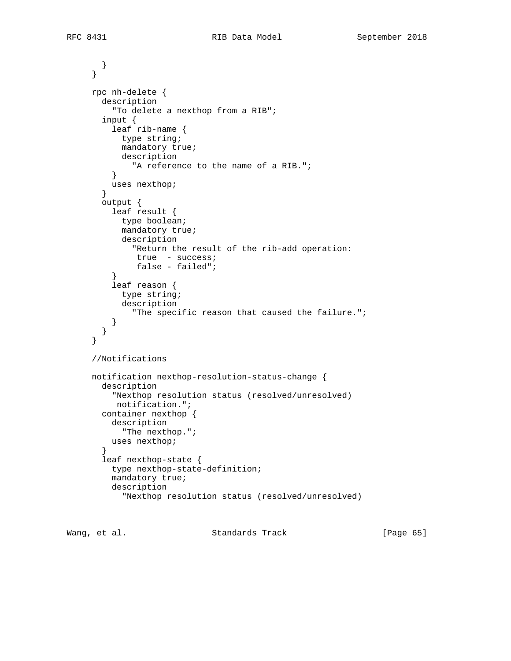```
 }
      }
     rpc nh-delete {
       description
          "To delete a nexthop from a RIB";
        input {
          leaf rib-name {
           type string;
           mandatory true;
           description
              "A reference to the name of a RIB.";
          }
          uses nexthop;
        }
       output {
         leaf result {
           type boolean;
           mandatory true;
            description
              "Return the result of the rib-add operation:
              true - success;
         false - failed";<br>}
 }
          leaf reason {
            type string;
            description
              "The specific reason that caused the failure.";
 }
        }
      }
      //Notifications
     notification nexthop-resolution-status-change {
       description
          "Nexthop resolution status (resolved/unresolved)
          notification.";
       container nexthop {
         description
            "The nexthop.";
         uses nexthop;
        }
        leaf nexthop-state {
          type nexthop-state-definition;
          mandatory true;
          description
            "Nexthop resolution status (resolved/unresolved)
```
Wang, et al. Standards Track [Page 65]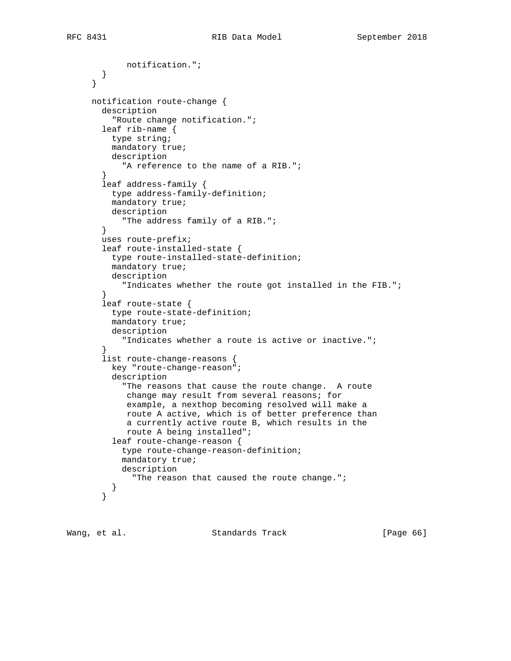```
 notification.";
        }
      }
     notification route-change {
       description
          "Route change notification.";
        leaf rib-name {
         type string;
         mandatory true;
         description
            "A reference to the name of a RIB.";
        }
        leaf address-family {
         type address-family-definition;
         mandatory true;
         description
           "The address family of a RIB.";
        }
        uses route-prefix;
        leaf route-installed-state {
         type route-installed-state-definition;
         mandatory true;
         description
            "Indicates whether the route got installed in the FIB.";
 }
        leaf route-state {
         type route-state-definition;
         mandatory true;
         description
            "Indicates whether a route is active or inactive.";
 }
        list route-change-reasons {
         key "route-change-reason";
          description
            "The reasons that cause the route change. A route
             change may result from several reasons; for
             example, a nexthop becoming resolved will make a
             route A active, which is of better preference than
             a currently active route B, which results in the
             route A being installed";
          leaf route-change-reason {
            type route-change-reason-definition;
            mandatory true;
            description
             "The reason that caused the route change.";
          }
        }
```
Wang, et al. Standards Track [Page 66]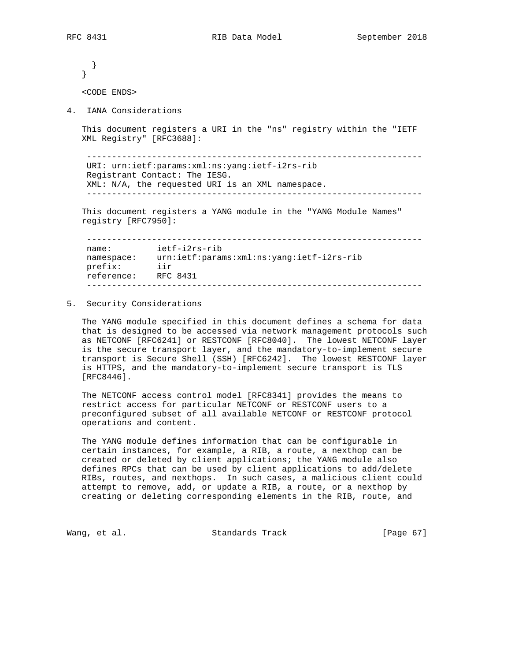```
 }
   }
   <CODE ENDS>
4. IANA Considerations
   This document registers a URI in the "ns" registry within the "IETF
   XML Registry" [RFC3688]:
     -------------------------------------------------------------------
    URI: urn:ietf:params:xml:ns:yang:ietf-i2rs-rib
    Registrant Contact: The IESG.
    XML: N/A, the requested URI is an XML namespace.
     -------------------------------------------------------------------
   This document registers a YANG module in the "YANG Module Names"
   registry [RFC7950]:
    -------------------------------------------------------------------
 name: ietf-i2rs-rib
 namespace: urn:ietf:params:xml:ns:yang:ietf-i2rs-rib
    prefix: iir
    reference: RFC 8431
```
#### 5. Security Considerations

 The YANG module specified in this document defines a schema for data that is designed to be accessed via network management protocols such as NETCONF [RFC6241] or RESTCONF [RFC8040]. The lowest NETCONF layer is the secure transport layer, and the mandatory-to-implement secure transport is Secure Shell (SSH) [RFC6242]. The lowest RESTCONF layer is HTTPS, and the mandatory-to-implement secure transport is TLS [RFC8446].

-------------------------------------------------------------------

 The NETCONF access control model [RFC8341] provides the means to restrict access for particular NETCONF or RESTCONF users to a preconfigured subset of all available NETCONF or RESTCONF protocol operations and content.

 The YANG module defines information that can be configurable in certain instances, for example, a RIB, a route, a nexthop can be created or deleted by client applications; the YANG module also defines RPCs that can be used by client applications to add/delete RIBs, routes, and nexthops. In such cases, a malicious client could attempt to remove, add, or update a RIB, a route, or a nexthop by creating or deleting corresponding elements in the RIB, route, and

Wang, et al. Standards Track [Page 67]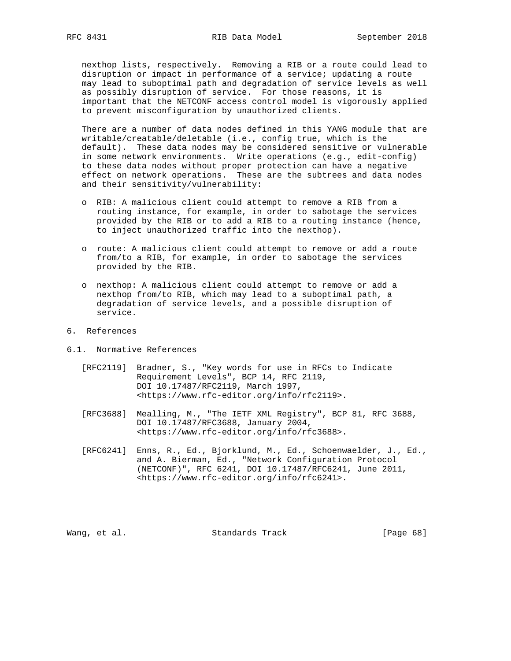nexthop lists, respectively. Removing a RIB or a route could lead to disruption or impact in performance of a service; updating a route may lead to suboptimal path and degradation of service levels as well as possibly disruption of service. For those reasons, it is important that the NETCONF access control model is vigorously applied to prevent misconfiguration by unauthorized clients.

 There are a number of data nodes defined in this YANG module that are writable/creatable/deletable (i.e., config true, which is the default). These data nodes may be considered sensitive or vulnerable in some network environments. Write operations (e.g., edit-config) to these data nodes without proper protection can have a negative effect on network operations. These are the subtrees and data nodes and their sensitivity/vulnerability:

- o RIB: A malicious client could attempt to remove a RIB from a routing instance, for example, in order to sabotage the services provided by the RIB or to add a RIB to a routing instance (hence, to inject unauthorized traffic into the nexthop).
- o route: A malicious client could attempt to remove or add a route from/to a RIB, for example, in order to sabotage the services provided by the RIB.
- o nexthop: A malicious client could attempt to remove or add a nexthop from/to RIB, which may lead to a suboptimal path, a degradation of service levels, and a possible disruption of service.
- 6. References
- 6.1. Normative References
	- [RFC2119] Bradner, S., "Key words for use in RFCs to Indicate Requirement Levels", BCP 14, RFC 2119, DOI 10.17487/RFC2119, March 1997, <https://www.rfc-editor.org/info/rfc2119>.
	- [RFC3688] Mealling, M., "The IETF XML Registry", BCP 81, RFC 3688, DOI 10.17487/RFC3688, January 2004, <https://www.rfc-editor.org/info/rfc3688>.
	- [RFC6241] Enns, R., Ed., Bjorklund, M., Ed., Schoenwaelder, J., Ed., and A. Bierman, Ed., "Network Configuration Protocol (NETCONF)", RFC 6241, DOI 10.17487/RFC6241, June 2011, <https://www.rfc-editor.org/info/rfc6241>.

Wang, et al. Standards Track [Page 68]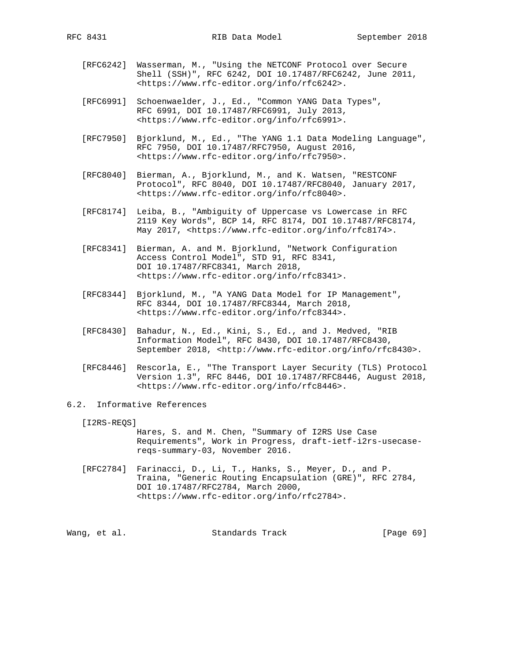- [RFC6242] Wasserman, M., "Using the NETCONF Protocol over Secure Shell (SSH)", RFC 6242, DOI 10.17487/RFC6242, June 2011, <https://www.rfc-editor.org/info/rfc6242>.
- [RFC6991] Schoenwaelder, J., Ed., "Common YANG Data Types", RFC 6991, DOI 10.17487/RFC6991, July 2013, <https://www.rfc-editor.org/info/rfc6991>.
- [RFC7950] Bjorklund, M., Ed., "The YANG 1.1 Data Modeling Language", RFC 7950, DOI 10.17487/RFC7950, August 2016, <https://www.rfc-editor.org/info/rfc7950>.
- [RFC8040] Bierman, A., Bjorklund, M., and K. Watsen, "RESTCONF Protocol", RFC 8040, DOI 10.17487/RFC8040, January 2017, <https://www.rfc-editor.org/info/rfc8040>.
- [RFC8174] Leiba, B., "Ambiguity of Uppercase vs Lowercase in RFC 2119 Key Words", BCP 14, RFC 8174, DOI 10.17487/RFC8174, May 2017, <https://www.rfc-editor.org/info/rfc8174>.
- [RFC8341] Bierman, A. and M. Bjorklund, "Network Configuration Access Control Model", STD 91, RFC 8341, DOI 10.17487/RFC8341, March 2018, <https://www.rfc-editor.org/info/rfc8341>.
- [RFC8344] Bjorklund, M., "A YANG Data Model for IP Management", RFC 8344, DOI 10.17487/RFC8344, March 2018, <https://www.rfc-editor.org/info/rfc8344>.
- [RFC8430] Bahadur, N., Ed., Kini, S., Ed., and J. Medved, "RIB Information Model", RFC 8430, DOI 10.17487/RFC8430, September 2018, <http://www.rfc-editor.org/info/rfc8430>.
- [RFC8446] Rescorla, E., "The Transport Layer Security (TLS) Protocol Version 1.3", RFC 8446, DOI 10.17487/RFC8446, August 2018, <https://www.rfc-editor.org/info/rfc8446>.

## 6.2. Informative References

[I2RS-REQS]

 Hares, S. and M. Chen, "Summary of I2RS Use Case Requirements", Work in Progress, draft-ietf-i2rs-usecase reqs-summary-03, November 2016.

 [RFC2784] Farinacci, D., Li, T., Hanks, S., Meyer, D., and P. Traina, "Generic Routing Encapsulation (GRE)", RFC 2784, DOI 10.17487/RFC2784, March 2000, <https://www.rfc-editor.org/info/rfc2784>.

Wang, et al. Standards Track [Page 69]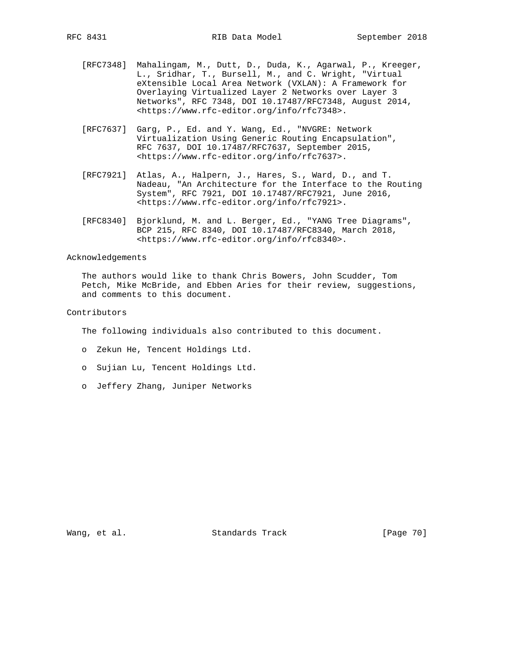- [RFC7348] Mahalingam, M., Dutt, D., Duda, K., Agarwal, P., Kreeger, L., Sridhar, T., Bursell, M., and C. Wright, "Virtual eXtensible Local Area Network (VXLAN): A Framework for Overlaying Virtualized Layer 2 Networks over Layer 3 Networks", RFC 7348, DOI 10.17487/RFC7348, August 2014, <https://www.rfc-editor.org/info/rfc7348>.
- [RFC7637] Garg, P., Ed. and Y. Wang, Ed., "NVGRE: Network Virtualization Using Generic Routing Encapsulation", RFC 7637, DOI 10.17487/RFC7637, September 2015, <https://www.rfc-editor.org/info/rfc7637>.
- [RFC7921] Atlas, A., Halpern, J., Hares, S., Ward, D., and T. Nadeau, "An Architecture for the Interface to the Routing System", RFC 7921, DOI 10.17487/RFC7921, June 2016, <https://www.rfc-editor.org/info/rfc7921>.
	- [RFC8340] Bjorklund, M. and L. Berger, Ed., "YANG Tree Diagrams", BCP 215, RFC 8340, DOI 10.17487/RFC8340, March 2018, <https://www.rfc-editor.org/info/rfc8340>.

### Acknowledgements

 The authors would like to thank Chris Bowers, John Scudder, Tom Petch, Mike McBride, and Ebben Aries for their review, suggestions, and comments to this document.

## Contributors

The following individuals also contributed to this document.

- o Zekun He, Tencent Holdings Ltd.
- o Sujian Lu, Tencent Holdings Ltd.
- o Jeffery Zhang, Juniper Networks

Wang, et al. Standards Track [Page 70]